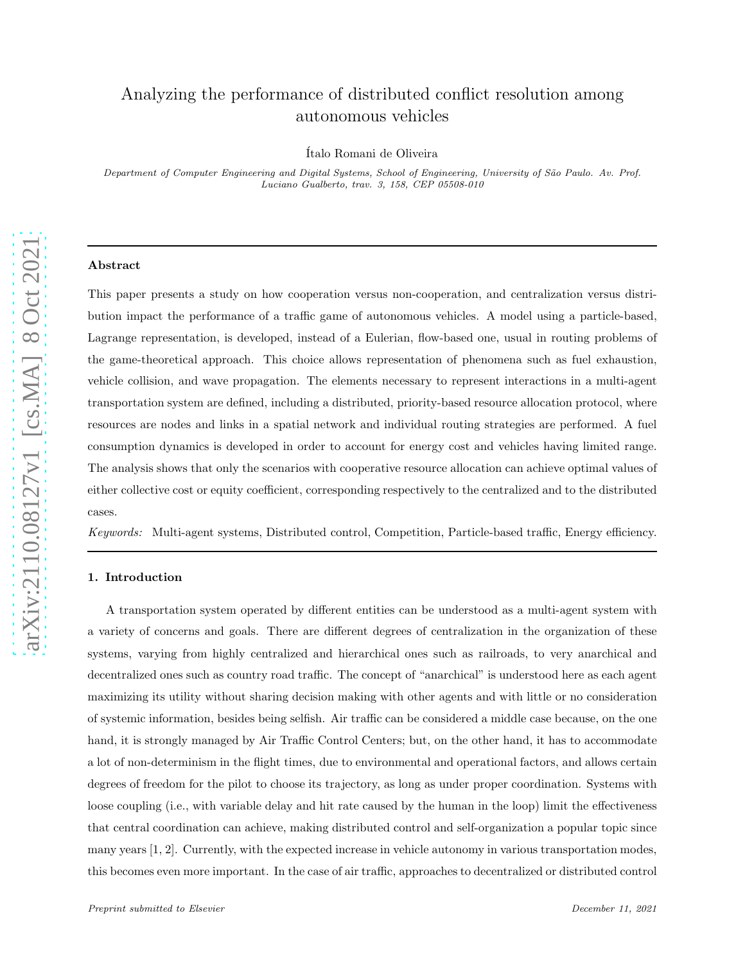# Analyzing the performance of distributed conflict resolution among autonomous vehicles

Ítalo Romani de Oliveira

Department of Computer Engineering and Digital Systems, School of Engineering, University of S˜ao Paulo. Av. Prof. Luciano Gualberto, trav. 3, 158, CEP 05508-010

#### Abstract

This paper presents a study on how cooperation versus non-cooperation, and centralization versus distribution impact the performance of a traffic game of autonomous vehicles. A model using a particle-based, Lagrange representation, is developed, instead of a Eulerian, flow-based one, usual in routing problems of the game-theoretical approach. This choice allows representation of phenomena such as fuel exhaustion, vehicle collision, and wave propagation. The elements necessary to represent interactions in a multi-agent transportation system are defined, including a distributed, priority-based resource allocation protocol, where resources are nodes and links in a spatial network and individual routing strategies are performed. A fuel consumption dynamics is developed in order to account for energy cost and vehicles having limited range. The analysis shows that only the scenarios with cooperative resource allocation can achieve optimal values of either collective cost or equity coefficient, corresponding respectively to the centralized and to the distributed cases.

Keywords: Multi-agent systems, Distributed control, Competition, Particle-based traffic, Energy efficiency.

# 1. Introduction

A transportation system operated by different entities can be understood as a multi-agent system with a variety of concerns and goals. There are different degrees of centralization in the organization of these systems, varying from highly centralized and hierarchical ones such as railroads, to very anarchical and decentralized ones such as country road traffic. The concept of "anarchical" is understood here as each agent maximizing its utility without sharing decision making with other agents and with little or no consideration of systemic information, besides being selfish. Air traffic can be considered a middle case because, on the one hand, it is strongly managed by Air Traffic Control Centers; but, on the other hand, it has to accommodate a lot of non-determinism in the flight times, due to environmental and operational factors, and allows certain degrees of freedom for the pilot to choose its trajectory, as long as under proper coordination. Systems with loose coupling (i.e., with variable delay and hit rate caused by the human in the loop) limit the effectiveness that central coordination can achieve, making distributed control and self-organization a popular topic since many years [1, 2]. Currently, with the expected increase in vehicle autonomy in various transportation modes, this becomes even more important. In the case of air traffic, approaches to decentralized or distributed control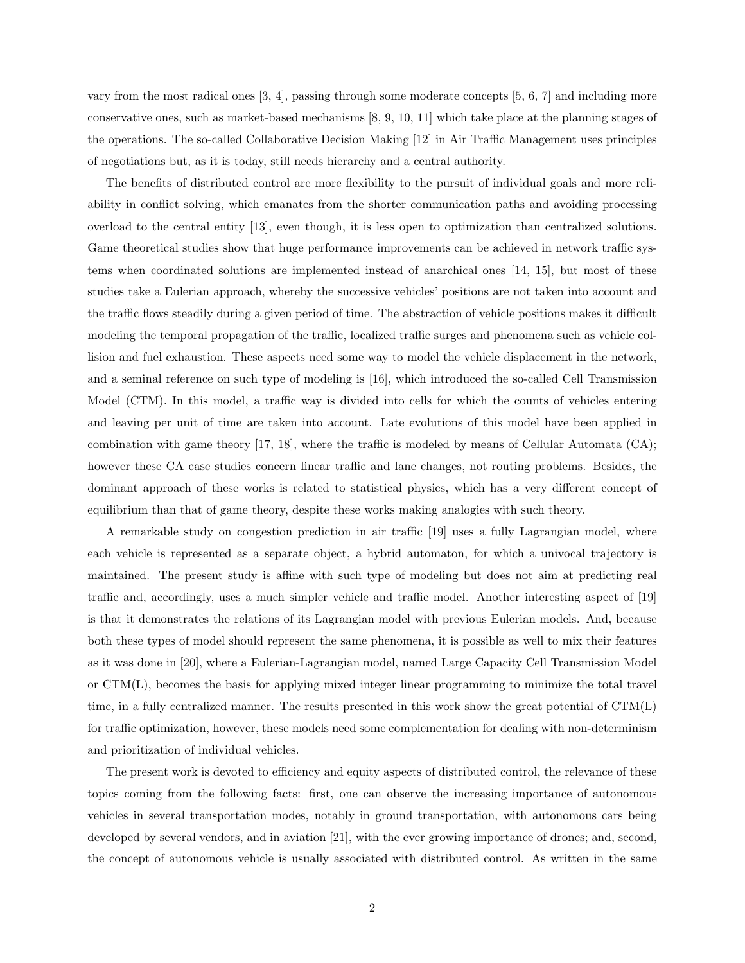vary from the most radical ones [3, 4], passing through some moderate concepts [5, 6, 7] and including more conservative ones, such as market-based mechanisms [8, 9, 10, 11] which take place at the planning stages of the operations. The so-called Collaborative Decision Making [12] in Air Traffic Management uses principles of negotiations but, as it is today, still needs hierarchy and a central authority.

The benefits of distributed control are more flexibility to the pursuit of individual goals and more reliability in conflict solving, which emanates from the shorter communication paths and avoiding processing overload to the central entity [13], even though, it is less open to optimization than centralized solutions. Game theoretical studies show that huge performance improvements can be achieved in network traffic systems when coordinated solutions are implemented instead of anarchical ones [14, 15], but most of these studies take a Eulerian approach, whereby the successive vehicles' positions are not taken into account and the traffic flows steadily during a given period of time. The abstraction of vehicle positions makes it difficult modeling the temporal propagation of the traffic, localized traffic surges and phenomena such as vehicle collision and fuel exhaustion. These aspects need some way to model the vehicle displacement in the network, and a seminal reference on such type of modeling is [16], which introduced the so-called Cell Transmission Model (CTM). In this model, a traffic way is divided into cells for which the counts of vehicles entering and leaving per unit of time are taken into account. Late evolutions of this model have been applied in combination with game theory [17, 18], where the traffic is modeled by means of Cellular Automata (CA); however these CA case studies concern linear traffic and lane changes, not routing problems. Besides, the dominant approach of these works is related to statistical physics, which has a very different concept of equilibrium than that of game theory, despite these works making analogies with such theory.

A remarkable study on congestion prediction in air traffic [19] uses a fully Lagrangian model, where each vehicle is represented as a separate object, a hybrid automaton, for which a univocal trajectory is maintained. The present study is affine with such type of modeling but does not aim at predicting real traffic and, accordingly, uses a much simpler vehicle and traffic model. Another interesting aspect of [19] is that it demonstrates the relations of its Lagrangian model with previous Eulerian models. And, because both these types of model should represent the same phenomena, it is possible as well to mix their features as it was done in [20], where a Eulerian-Lagrangian model, named Large Capacity Cell Transmission Model or CTM(L), becomes the basis for applying mixed integer linear programming to minimize the total travel time, in a fully centralized manner. The results presented in this work show the great potential of CTM(L) for traffic optimization, however, these models need some complementation for dealing with non-determinism and prioritization of individual vehicles.

The present work is devoted to efficiency and equity aspects of distributed control, the relevance of these topics coming from the following facts: first, one can observe the increasing importance of autonomous vehicles in several transportation modes, notably in ground transportation, with autonomous cars being developed by several vendors, and in aviation [21], with the ever growing importance of drones; and, second, the concept of autonomous vehicle is usually associated with distributed control. As written in the same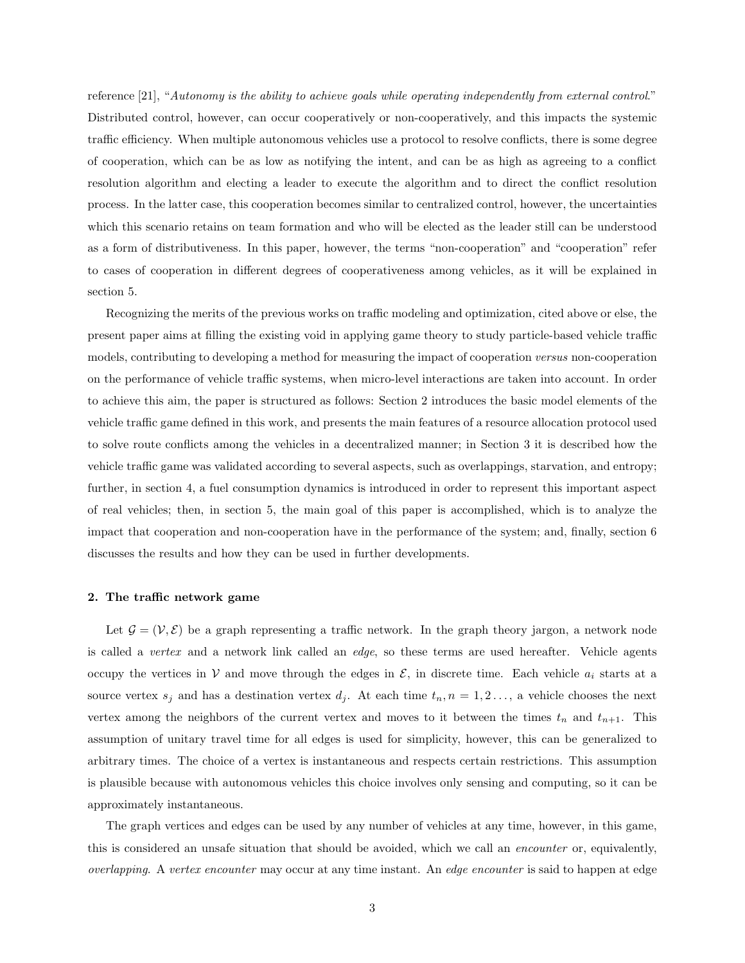reference [21], "Autonomy is the ability to achieve goals while operating independently from external control." Distributed control, however, can occur cooperatively or non-cooperatively, and this impacts the systemic traffic efficiency. When multiple autonomous vehicles use a protocol to resolve conflicts, there is some degree of cooperation, which can be as low as notifying the intent, and can be as high as agreeing to a conflict resolution algorithm and electing a leader to execute the algorithm and to direct the conflict resolution process. In the latter case, this cooperation becomes similar to centralized control, however, the uncertainties which this scenario retains on team formation and who will be elected as the leader still can be understood as a form of distributiveness. In this paper, however, the terms "non-cooperation" and "cooperation" refer to cases of cooperation in different degrees of cooperativeness among vehicles, as it will be explained in section 5.

Recognizing the merits of the previous works on traffic modeling and optimization, cited above or else, the present paper aims at filling the existing void in applying game theory to study particle-based vehicle traffic models, contributing to developing a method for measuring the impact of cooperation versus non-cooperation on the performance of vehicle traffic systems, when micro-level interactions are taken into account. In order to achieve this aim, the paper is structured as follows: Section 2 introduces the basic model elements of the vehicle traffic game defined in this work, and presents the main features of a resource allocation protocol used to solve route conflicts among the vehicles in a decentralized manner; in Section 3 it is described how the vehicle traffic game was validated according to several aspects, such as overlappings, starvation, and entropy; further, in section 4, a fuel consumption dynamics is introduced in order to represent this important aspect of real vehicles; then, in section 5, the main goal of this paper is accomplished, which is to analyze the impact that cooperation and non-cooperation have in the performance of the system; and, finally, section 6 discusses the results and how they can be used in further developments.

## 2. The traffic network game

Let  $\mathcal{G} = (\mathcal{V}, \mathcal{E})$  be a graph representing a traffic network. In the graph theory jargon, a network node is called a vertex and a network link called an edge, so these terms are used hereafter. Vehicle agents occupy the vertices in  $\mathcal V$  and move through the edges in  $\mathcal E$ , in discrete time. Each vehicle  $a_i$  starts at a source vertex  $s_j$  and has a destination vertex  $d_j$ . At each time  $t_n, n = 1, 2, \ldots$ , a vehicle chooses the next vertex among the neighbors of the current vertex and moves to it between the times  $t_n$  and  $t_{n+1}$ . This assumption of unitary travel time for all edges is used for simplicity, however, this can be generalized to arbitrary times. The choice of a vertex is instantaneous and respects certain restrictions. This assumption is plausible because with autonomous vehicles this choice involves only sensing and computing, so it can be approximately instantaneous.

The graph vertices and edges can be used by any number of vehicles at any time, however, in this game, this is considered an unsafe situation that should be avoided, which we call an encounter or, equivalently, overlapping. A vertex encounter may occur at any time instant. An edge encounter is said to happen at edge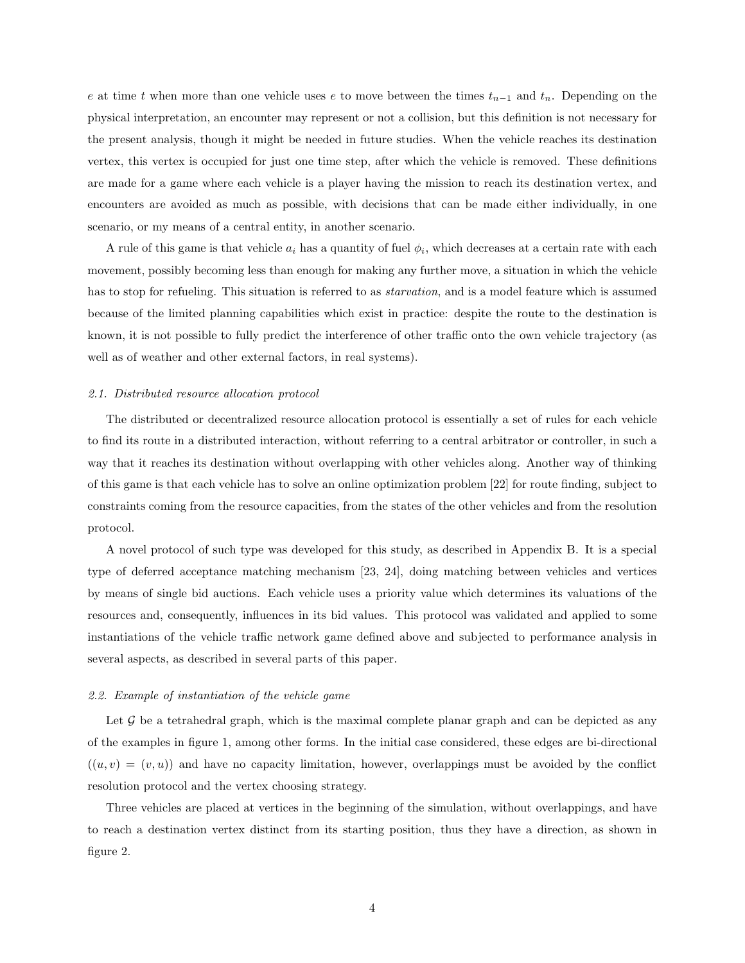e at time t when more than one vehicle uses e to move between the times  $t_{n-1}$  and  $t_n$ . Depending on the physical interpretation, an encounter may represent or not a collision, but this definition is not necessary for the present analysis, though it might be needed in future studies. When the vehicle reaches its destination vertex, this vertex is occupied for just one time step, after which the vehicle is removed. These definitions are made for a game where each vehicle is a player having the mission to reach its destination vertex, and encounters are avoided as much as possible, with decisions that can be made either individually, in one scenario, or my means of a central entity, in another scenario.

A rule of this game is that vehicle  $a_i$  has a quantity of fuel  $\phi_i$ , which decreases at a certain rate with each movement, possibly becoming less than enough for making any further move, a situation in which the vehicle has to stop for refueling. This situation is referred to as *starvation*, and is a model feature which is assumed because of the limited planning capabilities which exist in practice: despite the route to the destination is known, it is not possible to fully predict the interference of other traffic onto the own vehicle trajectory (as well as of weather and other external factors, in real systems).

#### 2.1. Distributed resource allocation protocol

The distributed or decentralized resource allocation protocol is essentially a set of rules for each vehicle to find its route in a distributed interaction, without referring to a central arbitrator or controller, in such a way that it reaches its destination without overlapping with other vehicles along. Another way of thinking of this game is that each vehicle has to solve an online optimization problem [22] for route finding, subject to constraints coming from the resource capacities, from the states of the other vehicles and from the resolution protocol.

A novel protocol of such type was developed for this study, as described in Appendix B. It is a special type of deferred acceptance matching mechanism [23, 24], doing matching between vehicles and vertices by means of single bid auctions. Each vehicle uses a priority value which determines its valuations of the resources and, consequently, influences in its bid values. This protocol was validated and applied to some instantiations of the vehicle traffic network game defined above and subjected to performance analysis in several aspects, as described in several parts of this paper.

#### 2.2. Example of instantiation of the vehicle game

Let  $\mathcal G$  be a tetrahedral graph, which is the maximal complete planar graph and can be depicted as any of the examples in figure 1, among other forms. In the initial case considered, these edges are bi-directional  $((u, v) = (v, u))$  and have no capacity limitation, however, overlappings must be avoided by the conflict resolution protocol and the vertex choosing strategy.

Three vehicles are placed at vertices in the beginning of the simulation, without overlappings, and have to reach a destination vertex distinct from its starting position, thus they have a direction, as shown in figure 2.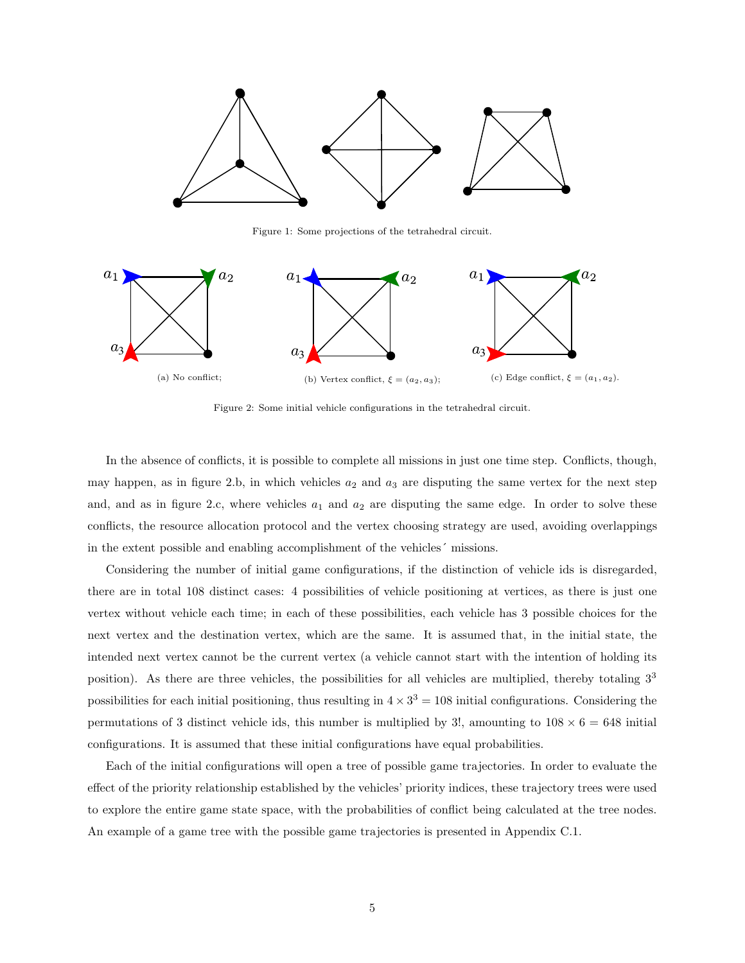

Figure 1: Some projections of the tetrahedral circuit.



Figure 2: Some initial vehicle configurations in the tetrahedral circuit.

In the absence of conflicts, it is possible to complete all missions in just one time step. Conflicts, though, may happen, as in figure 2.b, in which vehicles  $a_2$  and  $a_3$  are disputing the same vertex for the next step and, and as in figure 2.c, where vehicles  $a_1$  and  $a_2$  are disputing the same edge. In order to solve these conflicts, the resource allocation protocol and the vertex choosing strategy are used, avoiding overlappings in the extent possible and enabling accomplishment of the vehicles´ missions.

Considering the number of initial game configurations, if the distinction of vehicle ids is disregarded, there are in total 108 distinct cases: 4 possibilities of vehicle positioning at vertices, as there is just one vertex without vehicle each time; in each of these possibilities, each vehicle has 3 possible choices for the next vertex and the destination vertex, which are the same. It is assumed that, in the initial state, the intended next vertex cannot be the current vertex (a vehicle cannot start with the intention of holding its position). As there are three vehicles, the possibilities for all vehicles are multiplied, thereby totaling 3<sup>3</sup> possibilities for each initial positioning, thus resulting in  $4 \times 3^3 = 108$  initial configurations. Considering the permutations of 3 distinct vehicle ids, this number is multiplied by 3!, amounting to  $108 \times 6 = 648$  initial configurations. It is assumed that these initial configurations have equal probabilities.

Each of the initial configurations will open a tree of possible game trajectories. In order to evaluate the effect of the priority relationship established by the vehicles' priority indices, these trajectory trees were used to explore the entire game state space, with the probabilities of conflict being calculated at the tree nodes. An example of a game tree with the possible game trajectories is presented in Appendix C.1.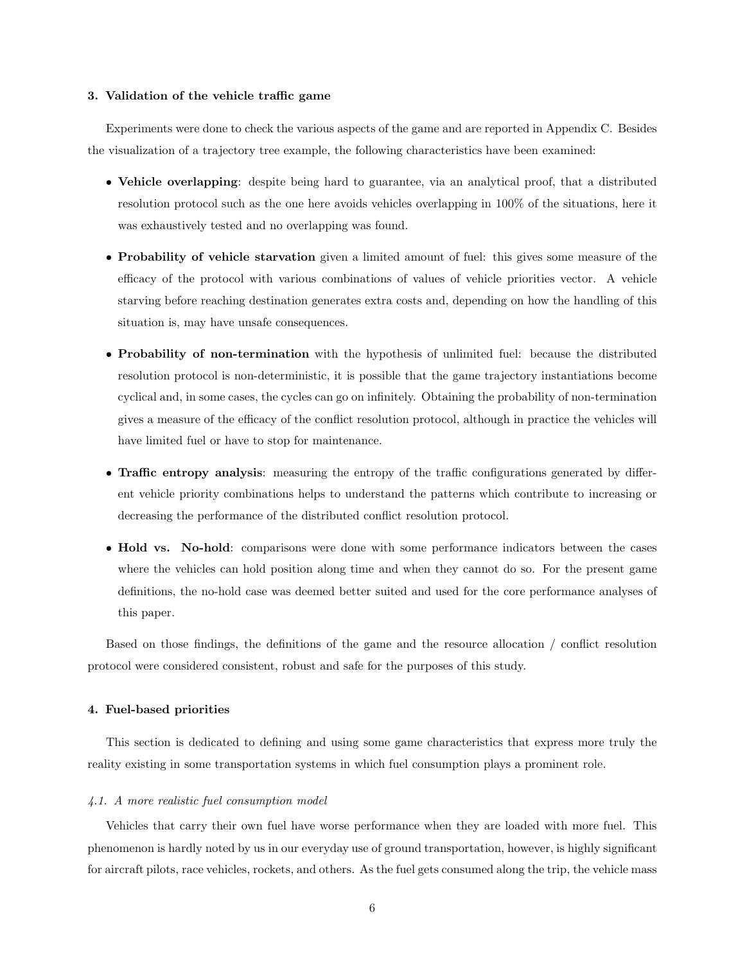## 3. Validation of the vehicle traffic game

Experiments were done to check the various aspects of the game and are reported in Appendix C. Besides the visualization of a trajectory tree example, the following characteristics have been examined:

- Vehicle overlapping: despite being hard to guarantee, via an analytical proof, that a distributed resolution protocol such as the one here avoids vehicles overlapping in 100% of the situations, here it was exhaustively tested and no overlapping was found.
- Probability of vehicle starvation given a limited amount of fuel: this gives some measure of the efficacy of the protocol with various combinations of values of vehicle priorities vector. A vehicle starving before reaching destination generates extra costs and, depending on how the handling of this situation is, may have unsafe consequences.
- Probability of non-termination with the hypothesis of unlimited fuel: because the distributed resolution protocol is non-deterministic, it is possible that the game trajectory instantiations become cyclical and, in some cases, the cycles can go on infinitely. Obtaining the probability of non-termination gives a measure of the efficacy of the conflict resolution protocol, although in practice the vehicles will have limited fuel or have to stop for maintenance.
- Traffic entropy analysis: measuring the entropy of the traffic configurations generated by different vehicle priority combinations helps to understand the patterns which contribute to increasing or decreasing the performance of the distributed conflict resolution protocol.
- Hold vs. No-hold: comparisons were done with some performance indicators between the cases where the vehicles can hold position along time and when they cannot do so. For the present game definitions, the no-hold case was deemed better suited and used for the core performance analyses of this paper.

Based on those findings, the definitions of the game and the resource allocation / conflict resolution protocol were considered consistent, robust and safe for the purposes of this study.

# 4. Fuel-based priorities

This section is dedicated to defining and using some game characteristics that express more truly the reality existing in some transportation systems in which fuel consumption plays a prominent role.

## 4.1. A more realistic fuel consumption model

Vehicles that carry their own fuel have worse performance when they are loaded with more fuel. This phenomenon is hardly noted by us in our everyday use of ground transportation, however, is highly significant for aircraft pilots, race vehicles, rockets, and others. As the fuel gets consumed along the trip, the vehicle mass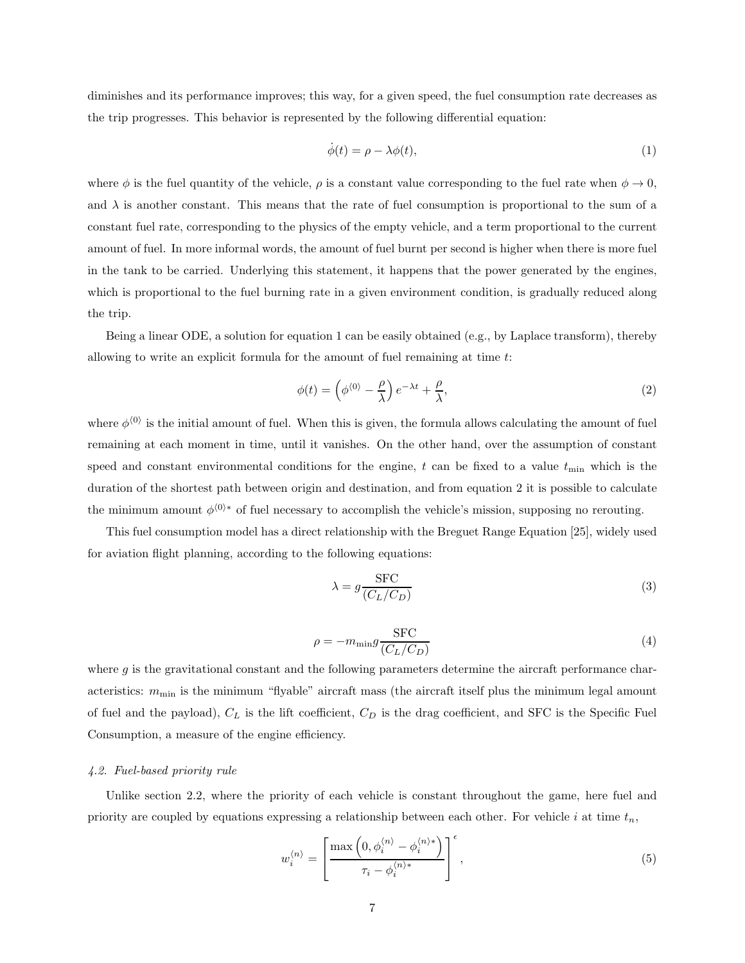diminishes and its performance improves; this way, for a given speed, the fuel consumption rate decreases as the trip progresses. This behavior is represented by the following differential equation:

$$
\dot{\phi}(t) = \rho - \lambda \phi(t),\tag{1}
$$

where  $\phi$  is the fuel quantity of the vehicle,  $\rho$  is a constant value corresponding to the fuel rate when  $\phi \to 0$ , and  $\lambda$  is another constant. This means that the rate of fuel consumption is proportional to the sum of a constant fuel rate, corresponding to the physics of the empty vehicle, and a term proportional to the current amount of fuel. In more informal words, the amount of fuel burnt per second is higher when there is more fuel in the tank to be carried. Underlying this statement, it happens that the power generated by the engines, which is proportional to the fuel burning rate in a given environment condition, is gradually reduced along the trip.

Being a linear ODE, a solution for equation 1 can be easily obtained (e.g., by Laplace transform), thereby allowing to write an explicit formula for the amount of fuel remaining at time t:

$$
\phi(t) = \left(\phi^{\langle 0 \rangle} - \frac{\rho}{\lambda}\right) e^{-\lambda t} + \frac{\rho}{\lambda},\tag{2}
$$

where  $\phi^{(0)}$  is the initial amount of fuel. When this is given, the formula allows calculating the amount of fuel remaining at each moment in time, until it vanishes. On the other hand, over the assumption of constant speed and constant environmental conditions for the engine, t can be fixed to a value  $t_{\min}$  which is the duration of the shortest path between origin and destination, and from equation 2 it is possible to calculate the minimum amount  $\phi^{(0)*}$  of fuel necessary to accomplish the vehicle's mission, supposing no rerouting.

This fuel consumption model has a direct relationship with the Breguet Range Equation [25], widely used for aviation flight planning, according to the following equations:

$$
\lambda = g \frac{\text{SFC}}{(C_L/C_D)}\tag{3}
$$

$$
\rho = -m_{\rm min}g \frac{\rm SFC}{(C_L/C_D)}\tag{4}
$$

where  $g$  is the gravitational constant and the following parameters determine the aircraft performance characteristics:  $m_{\text{min}}$  is the minimum "flyable" aircraft mass (the aircraft itself plus the minimum legal amount of fuel and the payload),  $C_L$  is the lift coefficient,  $C_D$  is the drag coefficient, and SFC is the Specific Fuel Consumption, a measure of the engine efficiency.

## 4.2. Fuel-based priority rule

Unlike section 2.2, where the priority of each vehicle is constant throughout the game, here fuel and priority are coupled by equations expressing a relationship between each other. For vehicle i at time  $t_n$ ,

$$
w_i^{\langle n \rangle} = \left[ \frac{\max\left(0, \phi_i^{\langle n \rangle} - \phi_i^{\langle n \rangle *}\right)}{\tau_i - \phi_i^{\langle n \rangle *}} \right]^{\epsilon},\tag{5}
$$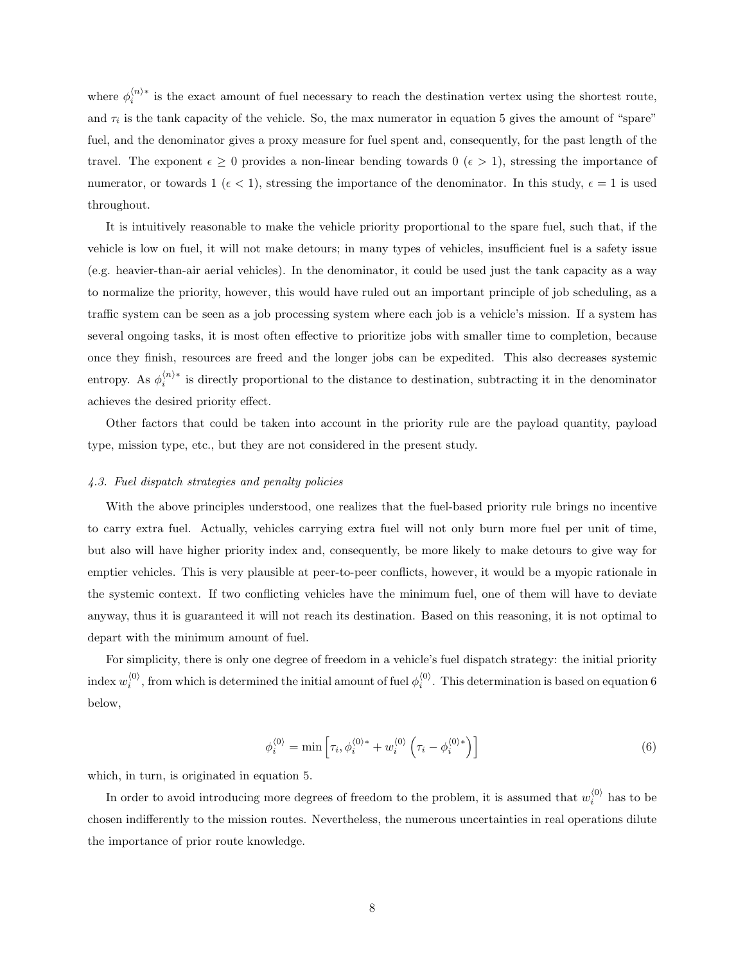where  $\phi_i^{(n)*}$  is the exact amount of fuel necessary to reach the destination vertex using the shortest route, and  $\tau_i$  is the tank capacity of the vehicle. So, the max numerator in equation 5 gives the amount of "spare" fuel, and the denominator gives a proxy measure for fuel spent and, consequently, for the past length of the travel. The exponent  $\epsilon \geq 0$  provides a non-linear bending towards  $0 \ (\epsilon > 1)$ , stressing the importance of numerator, or towards 1 ( $\epsilon$  < 1), stressing the importance of the denominator. In this study,  $\epsilon$  = 1 is used throughout.

It is intuitively reasonable to make the vehicle priority proportional to the spare fuel, such that, if the vehicle is low on fuel, it will not make detours; in many types of vehicles, insufficient fuel is a safety issue (e.g. heavier-than-air aerial vehicles). In the denominator, it could be used just the tank capacity as a way to normalize the priority, however, this would have ruled out an important principle of job scheduling, as a traffic system can be seen as a job processing system where each job is a vehicle's mission. If a system has several ongoing tasks, it is most often effective to prioritize jobs with smaller time to completion, because once they finish, resources are freed and the longer jobs can be expedited. This also decreases systemic entropy. As  $\phi_i^{(n)*}$  is directly proportional to the distance to destination, subtracting it in the denominator achieves the desired priority effect.

Other factors that could be taken into account in the priority rule are the payload quantity, payload type, mission type, etc., but they are not considered in the present study.

## 4.3. Fuel dispatch strategies and penalty policies

With the above principles understood, one realizes that the fuel-based priority rule brings no incentive to carry extra fuel. Actually, vehicles carrying extra fuel will not only burn more fuel per unit of time, but also will have higher priority index and, consequently, be more likely to make detours to give way for emptier vehicles. This is very plausible at peer-to-peer conflicts, however, it would be a myopic rationale in the systemic context. If two conflicting vehicles have the minimum fuel, one of them will have to deviate anyway, thus it is guaranteed it will not reach its destination. Based on this reasoning, it is not optimal to depart with the minimum amount of fuel.

For simplicity, there is only one degree of freedom in a vehicle's fuel dispatch strategy: the initial priority index  $w_i^{(0)}$ , from which is determined the initial amount of fuel  $\phi_i^{(0)}$ . This determination is based on equation 6 below,

$$
\phi_i^{\langle 0 \rangle} = \min \left[ \tau_i, \phi_i^{\langle 0 \rangle *} + w_i^{\langle 0 \rangle} \left( \tau_i - \phi_i^{\langle 0 \rangle *} \right) \right] \tag{6}
$$

which, in turn, is originated in equation 5.

In order to avoid introducing more degrees of freedom to the problem, it is assumed that  $w_i^{(0)}$  has to be chosen indifferently to the mission routes. Nevertheless, the numerous uncertainties in real operations dilute the importance of prior route knowledge.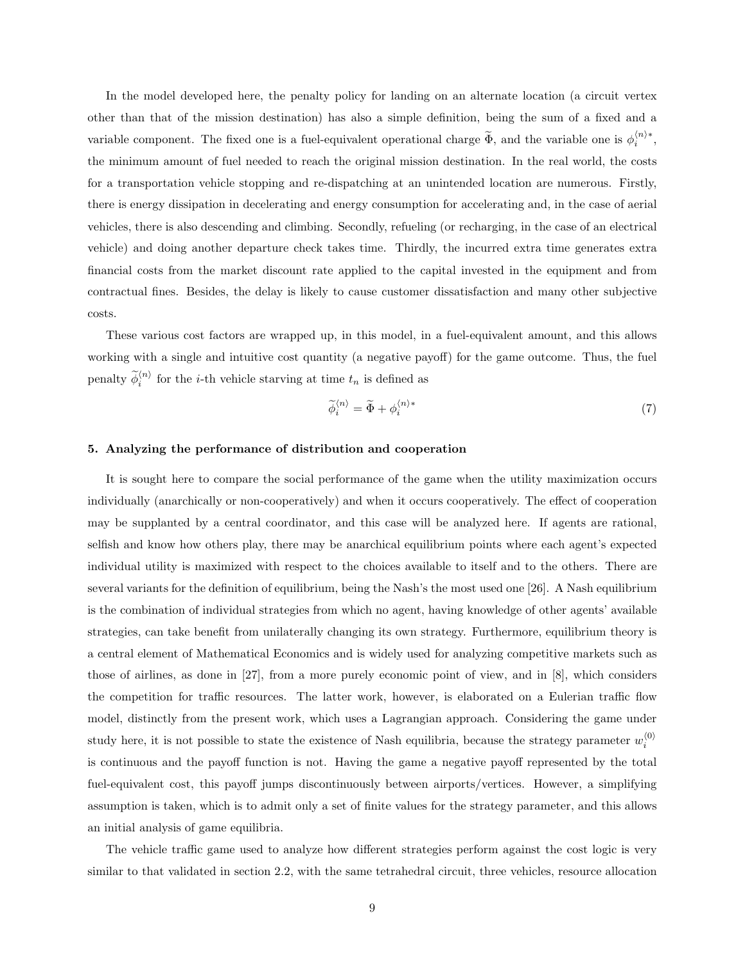In the model developed here, the penalty policy for landing on an alternate location (a circuit vertex other than that of the mission destination) has also a simple definition, being the sum of a fixed and a variable component. The fixed one is a fuel-equivalent operational charge  $\widetilde{\Phi}$ , and the variable one is  $\phi_i^{(n)*}$ , the minimum amount of fuel needed to reach the original mission destination. In the real world, the costs for a transportation vehicle stopping and re-dispatching at an unintended location are numerous. Firstly, there is energy dissipation in decelerating and energy consumption for accelerating and, in the case of aerial vehicles, there is also descending and climbing. Secondly, refueling (or recharging, in the case of an electrical vehicle) and doing another departure check takes time. Thirdly, the incurred extra time generates extra financial costs from the market discount rate applied to the capital invested in the equipment and from contractual fines. Besides, the delay is likely to cause customer dissatisfaction and many other subjective costs.

These various cost factors are wrapped up, in this model, in a fuel-equivalent amount, and this allows working with a single and intuitive cost quantity (a negative payoff) for the game outcome. Thus, the fuel penalty  $\widetilde{\phi}_i^{\langle n \rangle}$  for the *i*-th vehicle starving at time  $t_n$  is defined as

$$
\widetilde{\phi}_i^{\langle n \rangle} = \widetilde{\Phi} + \phi_i^{\langle n \rangle *}
$$
\n<sup>(7)</sup>

#### 5. Analyzing the performance of distribution and cooperation

It is sought here to compare the social performance of the game when the utility maximization occurs individually (anarchically or non-cooperatively) and when it occurs cooperatively. The effect of cooperation may be supplanted by a central coordinator, and this case will be analyzed here. If agents are rational, selfish and know how others play, there may be anarchical equilibrium points where each agent's expected individual utility is maximized with respect to the choices available to itself and to the others. There are several variants for the definition of equilibrium, being the Nash's the most used one [26]. A Nash equilibrium is the combination of individual strategies from which no agent, having knowledge of other agents' available strategies, can take benefit from unilaterally changing its own strategy. Furthermore, equilibrium theory is a central element of Mathematical Economics and is widely used for analyzing competitive markets such as those of airlines, as done in [27], from a more purely economic point of view, and in [8], which considers the competition for traffic resources. The latter work, however, is elaborated on a Eulerian traffic flow model, distinctly from the present work, which uses a Lagrangian approach. Considering the game under study here, it is not possible to state the existence of Nash equilibria, because the strategy parameter  $w_i^{(0)}$ is continuous and the payoff function is not. Having the game a negative payoff represented by the total fuel-equivalent cost, this payoff jumps discontinuously between airports/vertices. However, a simplifying assumption is taken, which is to admit only a set of finite values for the strategy parameter, and this allows an initial analysis of game equilibria.

The vehicle traffic game used to analyze how different strategies perform against the cost logic is very similar to that validated in section 2.2, with the same tetrahedral circuit, three vehicles, resource allocation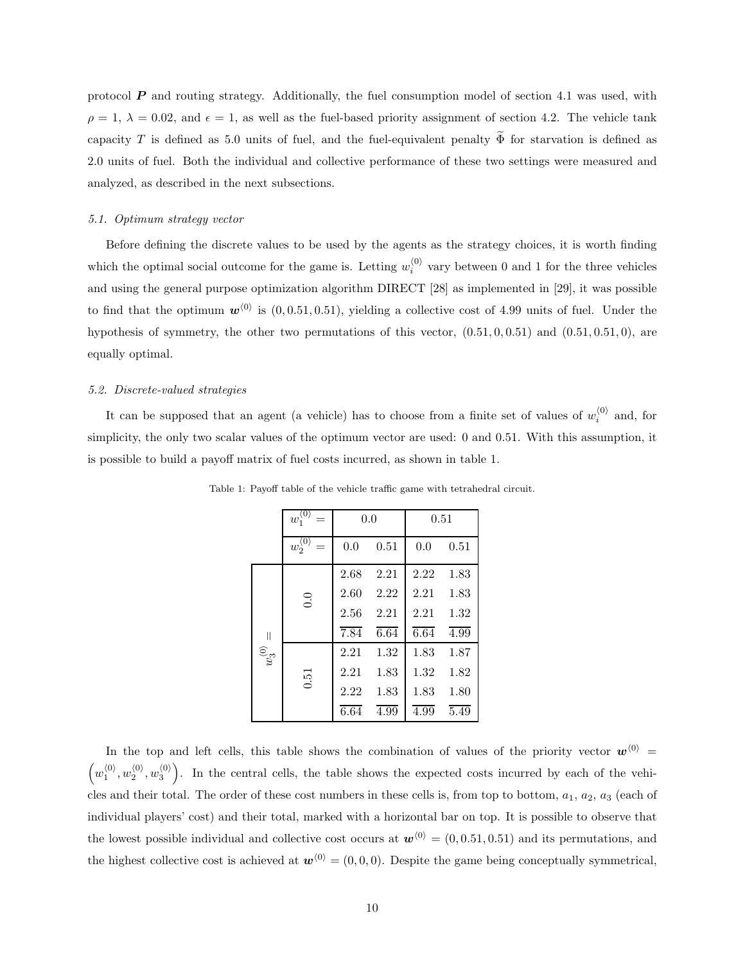protocol  $\bm{P}$  and routing strategy. Additionally, the fuel consumption model of section 4.1 was used, with  $\rho = 1, \lambda = 0.02$ , and  $\epsilon = 1$ , as well as the fuel-based priority assignment of section 4.2. The vehicle tank capacity T is defined as 5.0 units of fuel, and the fuel-equivalent penalty  $\widetilde{\Phi}$  for starvation is defined as 2.0 units of fuel. Both the individual and collective performance of these two settings were measured and analyzed, as described in the next subsections.

# 5.1. Optimum strategy vector

Before defining the discrete values to be used by the agents as the strategy choices, it is worth finding which the optimal social outcome for the game is. Letting  $w_i^{(0)}$  vary between 0 and 1 for the three vehicles and using the general purpose optimization algorithm DIRECT [28] as implemented in [29], it was possible to find that the optimum  $w^{(0)}$  is  $(0, 0.51, 0.51)$ , yielding a collective cost of 4.99 units of fuel. Under the hypothesis of symmetry, the other two permutations of this vector,  $(0.51, 0.051)$  and  $(0.51, 0.51, 0)$ , are equally optimal.

#### 5.2. Discrete-valued strategies

It can be supposed that an agent (a vehicle) has to choose from a finite set of values of  $w_i^{(0)}$  and, for simplicity, the only two scalar values of the optimum vector are used: 0 and 0.51. With this assumption, it is possible to build a payoff matrix of fuel costs incurred, as shown in table 1.

|                                   | $w_1^{\langle \overline{0} \rangle}$ | 0.0  |      | 0.51 |                   |  |
|-----------------------------------|--------------------------------------|------|------|------|-------------------|--|
|                                   | $w_2^{\langle 0 \rangle}$            | 0.0  | 0.51 | 0.0  | 0.51              |  |
|                                   |                                      | 2.68 | 2.21 | 2.22 | 1.83              |  |
|                                   | 0.0                                  | 2.60 | 2.22 | 2.21 | 1.83              |  |
|                                   |                                      | 2.56 | 2.21 | 2.21 | 1.32              |  |
| $\mathbb{I}$<br>$\hat{w}^{(0)}_3$ |                                      | 7.84 | 6.64 | 6.64 | $\overline{4.99}$ |  |
|                                   |                                      | 2.21 | 1.32 | 1.83 | 1.87              |  |
|                                   | 0.51                                 | 2.21 | 1.83 | 1.32 | 1.82              |  |
|                                   |                                      | 2.22 | 1.83 | 1.83 | 1.80              |  |
|                                   |                                      | 6.64 | 4.99 | 4.99 | 5.49              |  |

Table 1: Payoff table of the vehicle traffic game with tetrahedral circuit.

In the top and left cells, this table shows the combination of values of the priority vector  $\mathbf{w}^{\langle 0 \rangle}$  =  $(w_1^{(0)}, w_2^{(0)}, w_3^{(0)})$ . In the central cells, the table shows the expected costs incurred by each of the vehicles and their total. The order of these cost numbers in these cells is, from top to bottom,  $a_1, a_2, a_3$  (each of individual players' cost) and their total, marked with a horizontal bar on top. It is possible to observe that the lowest possible individual and collective cost occurs at  $\mathbf{w}^{(0)} = (0, 0.51, 0.51)$  and its permutations, and the highest collective cost is achieved at  $\mathbf{w}^{(0)} = (0, 0, 0)$ . Despite the game being conceptually symmetrical,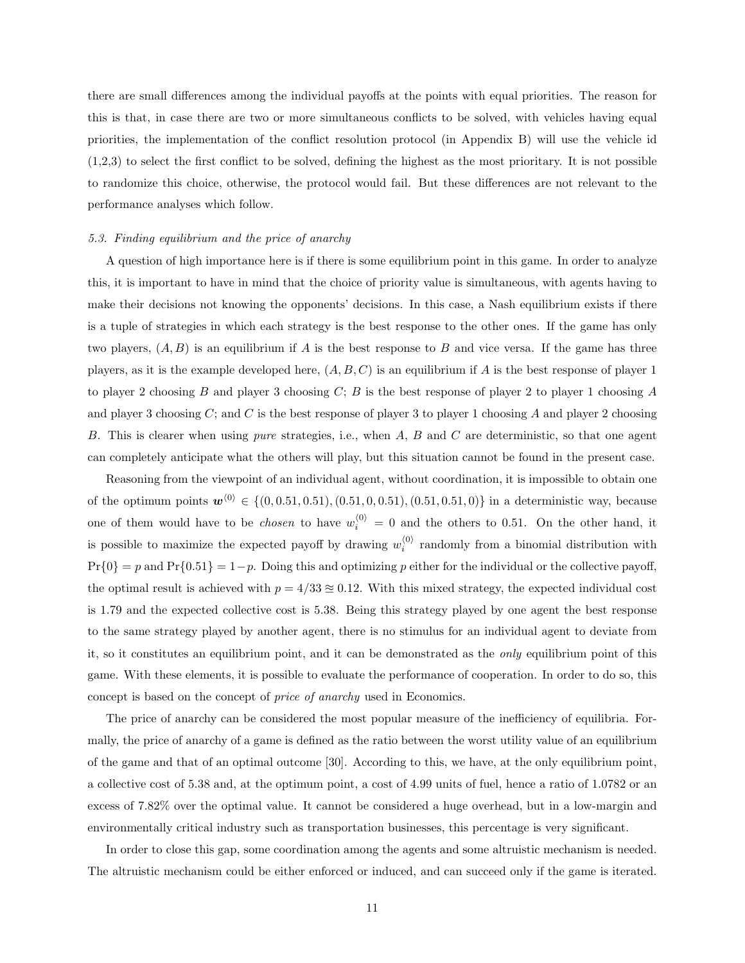there are small differences among the individual payoffs at the points with equal priorities. The reason for this is that, in case there are two or more simultaneous conflicts to be solved, with vehicles having equal priorities, the implementation of the conflict resolution protocol (in Appendix B) will use the vehicle id (1,2,3) to select the first conflict to be solved, defining the highest as the most prioritary. It is not possible to randomize this choice, otherwise, the protocol would fail. But these differences are not relevant to the performance analyses which follow.

## 5.3. Finding equilibrium and the price of anarchy

A question of high importance here is if there is some equilibrium point in this game. In order to analyze this, it is important to have in mind that the choice of priority value is simultaneous, with agents having to make their decisions not knowing the opponents' decisions. In this case, a Nash equilibrium exists if there is a tuple of strategies in which each strategy is the best response to the other ones. If the game has only two players,  $(A, B)$  is an equilibrium if A is the best response to B and vice versa. If the game has three players, as it is the example developed here,  $(A, B, C)$  is an equilibrium if A is the best response of player 1 to player 2 choosing B and player 3 choosing C; B is the best response of player 2 to player 1 choosing A and player 3 choosing  $C$ ; and  $C$  is the best response of player 3 to player 1 choosing A and player 2 choosing B. This is clearer when using *pure* strategies, i.e., when A, B and C are deterministic, so that one agent can completely anticipate what the others will play, but this situation cannot be found in the present case.

Reasoning from the viewpoint of an individual agent, without coordination, it is impossible to obtain one of the optimum points  $w^{(0)} \in \{(0, 0.51, 0.51), (0.51, 0, 0.51), (0.51, 0.51, 0)\}\$  in a deterministic way, because one of them would have to be *chosen* to have  $w_i^{(0)} = 0$  and the others to 0.51. On the other hand, it is possible to maximize the expected payoff by drawing  $w_i^{(0)}$  randomly from a binomial distribution with  $Pr{0} = p$  and  $Pr{0.51} = 1-p$ . Doing this and optimizing p either for the individual or the collective payoff, the optimal result is achieved with  $p = 4/33 \approx 0.12$ . With this mixed strategy, the expected individual cost is 1.79 and the expected collective cost is 5.38. Being this strategy played by one agent the best response to the same strategy played by another agent, there is no stimulus for an individual agent to deviate from it, so it constitutes an equilibrium point, and it can be demonstrated as the only equilibrium point of this game. With these elements, it is possible to evaluate the performance of cooperation. In order to do so, this concept is based on the concept of price of anarchy used in Economics.

The price of anarchy can be considered the most popular measure of the inefficiency of equilibria. Formally, the price of anarchy of a game is defined as the ratio between the worst utility value of an equilibrium of the game and that of an optimal outcome [30]. According to this, we have, at the only equilibrium point, a collective cost of 5.38 and, at the optimum point, a cost of 4.99 units of fuel, hence a ratio of 1.0782 or an excess of 7.82% over the optimal value. It cannot be considered a huge overhead, but in a low-margin and environmentally critical industry such as transportation businesses, this percentage is very significant.

In order to close this gap, some coordination among the agents and some altruistic mechanism is needed. The altruistic mechanism could be either enforced or induced, and can succeed only if the game is iterated.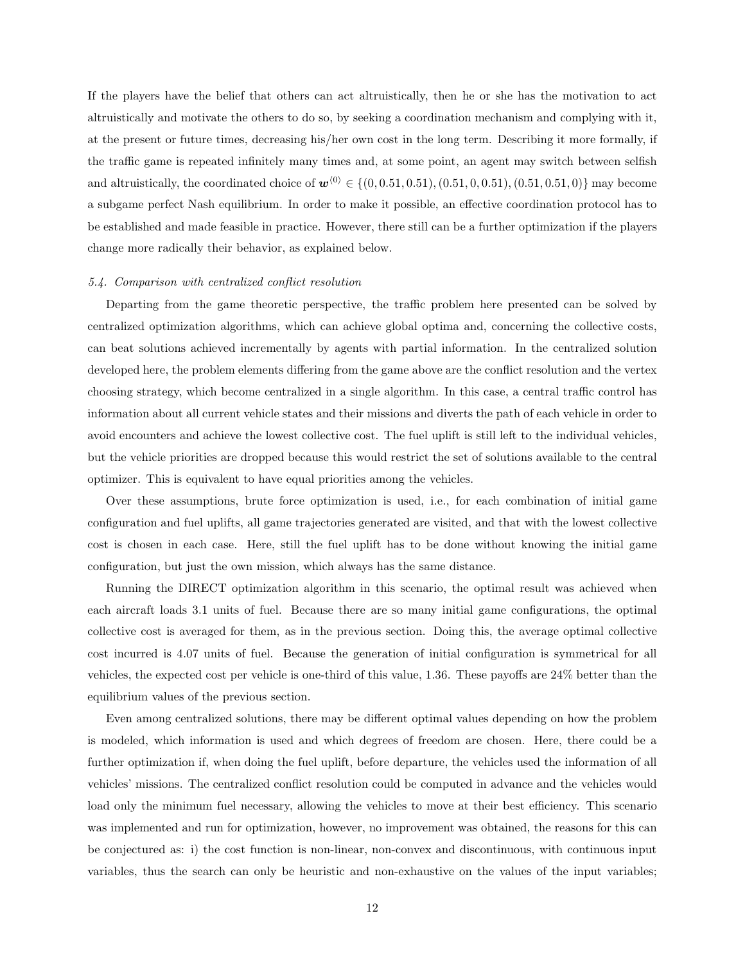If the players have the belief that others can act altruistically, then he or she has the motivation to act altruistically and motivate the others to do so, by seeking a coordination mechanism and complying with it, at the present or future times, decreasing his/her own cost in the long term. Describing it more formally, if the traffic game is repeated infinitely many times and, at some point, an agent may switch between selfish and altruistically, the coordinated choice of  $\mathbf{w}^{(0)} \in \{(0, 0.51, 0.51), (0.51, 0.0.51), (0.51, 0.51, 0)\}\)$  may become a subgame perfect Nash equilibrium. In order to make it possible, an effective coordination protocol has to be established and made feasible in practice. However, there still can be a further optimization if the players change more radically their behavior, as explained below.

#### 5.4. Comparison with centralized conflict resolution

Departing from the game theoretic perspective, the traffic problem here presented can be solved by centralized optimization algorithms, which can achieve global optima and, concerning the collective costs, can beat solutions achieved incrementally by agents with partial information. In the centralized solution developed here, the problem elements differing from the game above are the conflict resolution and the vertex choosing strategy, which become centralized in a single algorithm. In this case, a central traffic control has information about all current vehicle states and their missions and diverts the path of each vehicle in order to avoid encounters and achieve the lowest collective cost. The fuel uplift is still left to the individual vehicles, but the vehicle priorities are dropped because this would restrict the set of solutions available to the central optimizer. This is equivalent to have equal priorities among the vehicles.

Over these assumptions, brute force optimization is used, i.e., for each combination of initial game configuration and fuel uplifts, all game trajectories generated are visited, and that with the lowest collective cost is chosen in each case. Here, still the fuel uplift has to be done without knowing the initial game configuration, but just the own mission, which always has the same distance.

Running the DIRECT optimization algorithm in this scenario, the optimal result was achieved when each aircraft loads 3.1 units of fuel. Because there are so many initial game configurations, the optimal collective cost is averaged for them, as in the previous section. Doing this, the average optimal collective cost incurred is 4.07 units of fuel. Because the generation of initial configuration is symmetrical for all vehicles, the expected cost per vehicle is one-third of this value, 1.36. These payoffs are 24% better than the equilibrium values of the previous section.

Even among centralized solutions, there may be different optimal values depending on how the problem is modeled, which information is used and which degrees of freedom are chosen. Here, there could be a further optimization if, when doing the fuel uplift, before departure, the vehicles used the information of all vehicles' missions. The centralized conflict resolution could be computed in advance and the vehicles would load only the minimum fuel necessary, allowing the vehicles to move at their best efficiency. This scenario was implemented and run for optimization, however, no improvement was obtained, the reasons for this can be conjectured as: i) the cost function is non-linear, non-convex and discontinuous, with continuous input variables, thus the search can only be heuristic and non-exhaustive on the values of the input variables;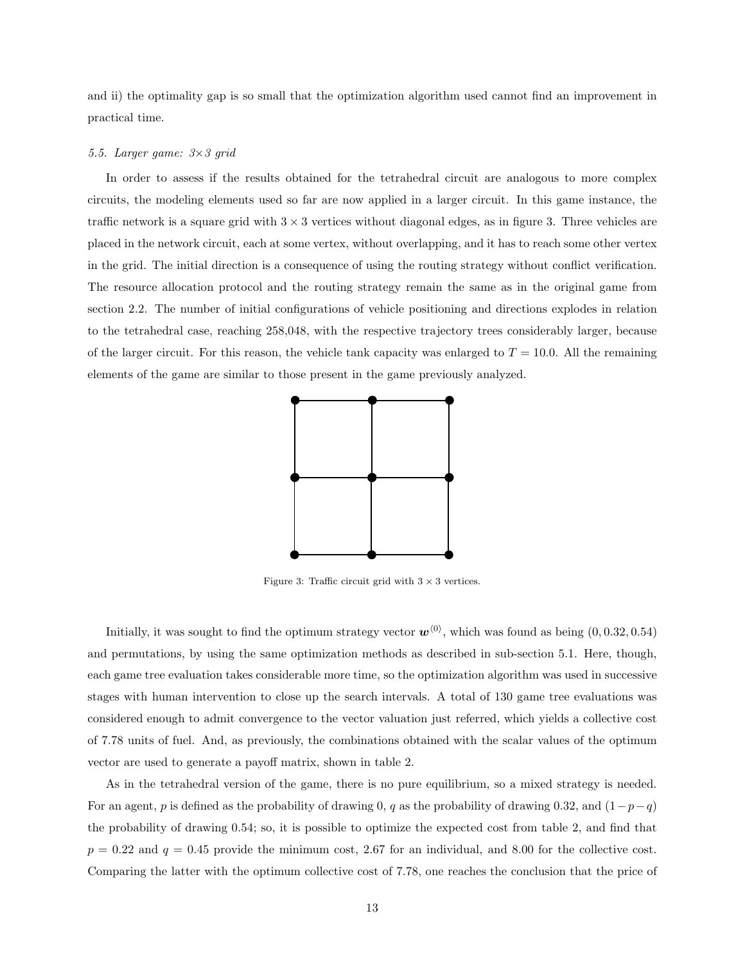and ii) the optimality gap is so small that the optimization algorithm used cannot find an improvement in practical time.

# 5.5. Larger game: 3×3 grid

In order to assess if the results obtained for the tetrahedral circuit are analogous to more complex circuits, the modeling elements used so far are now applied in a larger circuit. In this game instance, the traffic network is a square grid with  $3 \times 3$  vertices without diagonal edges, as in figure 3. Three vehicles are placed in the network circuit, each at some vertex, without overlapping, and it has to reach some other vertex in the grid. The initial direction is a consequence of using the routing strategy without conflict verification. The resource allocation protocol and the routing strategy remain the same as in the original game from section 2.2. The number of initial configurations of vehicle positioning and directions explodes in relation to the tetrahedral case, reaching 258,048, with the respective trajectory trees considerably larger, because of the larger circuit. For this reason, the vehicle tank capacity was enlarged to  $T = 10.0$ . All the remaining elements of the game are similar to those present in the game previously analyzed.



Figure 3: Traffic circuit grid with  $3 \times 3$  vertices.

Initially, it was sought to find the optimum strategy vector  $w^{\langle 0 \rangle}$ , which was found as being  $(0, 0.32, 0.54)$ and permutations, by using the same optimization methods as described in sub-section 5.1. Here, though, each game tree evaluation takes considerable more time, so the optimization algorithm was used in successive stages with human intervention to close up the search intervals. A total of 130 game tree evaluations was considered enough to admit convergence to the vector valuation just referred, which yields a collective cost of 7.78 units of fuel. And, as previously, the combinations obtained with the scalar values of the optimum vector are used to generate a payoff matrix, shown in table 2.

As in the tetrahedral version of the game, there is no pure equilibrium, so a mixed strategy is needed. For an agent, p is defined as the probability of drawing 0, q as the probability of drawing 0.32, and  $(1-p-q)$ the probability of drawing 0.54; so, it is possible to optimize the expected cost from table 2, and find that  $p = 0.22$  and  $q = 0.45$  provide the minimum cost, 2.67 for an individual, and 8.00 for the collective cost. Comparing the latter with the optimum collective cost of 7.78, one reaches the conclusion that the price of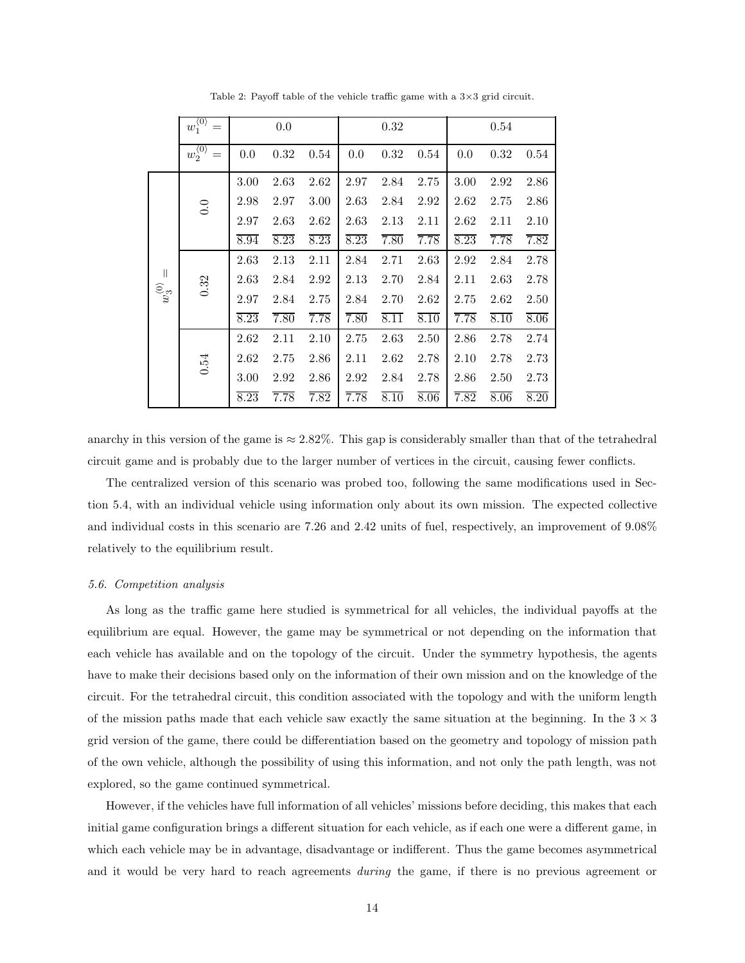|                                    | $w_1^{\overline{\langle 0 \rangle}}$ |          | 0.0  |      |      | 0.32 |      |      | 0.54 |      |
|------------------------------------|--------------------------------------|----------|------|------|------|------|------|------|------|------|
|                                    | $w_2^{\langle 0 \rangle}$<br>$=$     | 0.0      | 0.32 | 0.54 | 0.0  | 0.32 | 0.54 | 0.0  | 0.32 | 0.54 |
|                                    |                                      | 3.00     | 2.63 | 2.62 | 2.97 | 2.84 | 2.75 | 3.00 | 2.92 | 2.86 |
|                                    | 0.0                                  | 2.98     | 2.97 | 3.00 | 2.63 | 2.84 | 2.92 | 2.62 | 2.75 | 2.86 |
|                                    |                                      | $2.97\,$ | 2.63 | 2.62 | 2.63 | 2.13 | 2.11 | 2.62 | 2.11 | 2.10 |
| $\lvert \rvert$<br>$w_3^{\rm (0)}$ |                                      | 8.94     | 8.23 | 8.23 | 8.23 | 7.80 | 7.78 | 8.23 | 7.78 | 7.82 |
|                                    |                                      | 2.63     | 2.13 | 2.11 | 2.84 | 2.71 | 2.63 | 2.92 | 2.84 | 2.78 |
|                                    | $\,0.32$                             | 2.63     | 2.84 | 2.92 | 2.13 | 2.70 | 2.84 | 2.11 | 2.63 | 2.78 |
|                                    |                                      | 2.97     | 2.84 | 2.75 | 2.84 | 2.70 | 2.62 | 2.75 | 2.62 | 2.50 |
|                                    |                                      | 8.23     | 7.80 | 7.78 | 7.80 | 8.11 | 8.10 | 7.78 | 8.10 | 8.06 |
|                                    |                                      | 2.62     | 2.11 | 2.10 | 2.75 | 2.63 | 2.50 | 2.86 | 2.78 | 2.74 |
|                                    | 0.54                                 | 2.62     | 2.75 | 2.86 | 2.11 | 2.62 | 2.78 | 2.10 | 2.78 | 2.73 |
|                                    |                                      | 3.00     | 2.92 | 2.86 | 2.92 | 2.84 | 2.78 | 2.86 | 2.50 | 2.73 |
|                                    |                                      | 8.23     | 7.78 | 7.82 | 7.78 | 8.10 | 8.06 | 7.82 | 8.06 | 8.20 |

Table 2: Payoff table of the vehicle traffic game with a  $3\times3$  grid circuit.

anarchy in this version of the game is  $\approx 2.82\%$ . This gap is considerably smaller than that of the tetrahedral circuit game and is probably due to the larger number of vertices in the circuit, causing fewer conflicts.

The centralized version of this scenario was probed too, following the same modifications used in Section 5.4, with an individual vehicle using information only about its own mission. The expected collective and individual costs in this scenario are 7.26 and 2.42 units of fuel, respectively, an improvement of 9.08% relatively to the equilibrium result.

# 5.6. Competition analysis

As long as the traffic game here studied is symmetrical for all vehicles, the individual payoffs at the equilibrium are equal. However, the game may be symmetrical or not depending on the information that each vehicle has available and on the topology of the circuit. Under the symmetry hypothesis, the agents have to make their decisions based only on the information of their own mission and on the knowledge of the circuit. For the tetrahedral circuit, this condition associated with the topology and with the uniform length of the mission paths made that each vehicle saw exactly the same situation at the beginning. In the  $3 \times 3$ grid version of the game, there could be differentiation based on the geometry and topology of mission path of the own vehicle, although the possibility of using this information, and not only the path length, was not explored, so the game continued symmetrical.

However, if the vehicles have full information of all vehicles' missions before deciding, this makes that each initial game configuration brings a different situation for each vehicle, as if each one were a different game, in which each vehicle may be in advantage, disadvantage or indifferent. Thus the game becomes asymmetrical and it would be very hard to reach agreements during the game, if there is no previous agreement or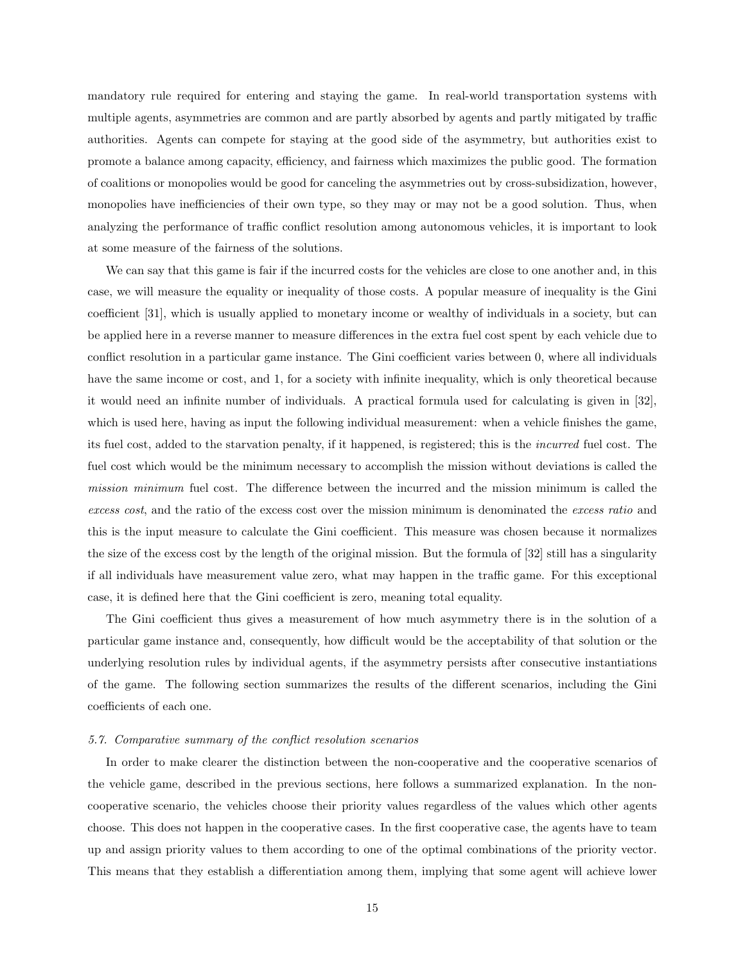mandatory rule required for entering and staying the game. In real-world transportation systems with multiple agents, asymmetries are common and are partly absorbed by agents and partly mitigated by traffic authorities. Agents can compete for staying at the good side of the asymmetry, but authorities exist to promote a balance among capacity, efficiency, and fairness which maximizes the public good. The formation of coalitions or monopolies would be good for canceling the asymmetries out by cross-subsidization, however, monopolies have inefficiencies of their own type, so they may or may not be a good solution. Thus, when analyzing the performance of traffic conflict resolution among autonomous vehicles, it is important to look at some measure of the fairness of the solutions.

We can say that this game is fair if the incurred costs for the vehicles are close to one another and, in this case, we will measure the equality or inequality of those costs. A popular measure of inequality is the Gini coefficient [31], which is usually applied to monetary income or wealthy of individuals in a society, but can be applied here in a reverse manner to measure differences in the extra fuel cost spent by each vehicle due to conflict resolution in a particular game instance. The Gini coefficient varies between 0, where all individuals have the same income or cost, and 1, for a society with infinite inequality, which is only theoretical because it would need an infinite number of individuals. A practical formula used for calculating is given in [32], which is used here, having as input the following individual measurement: when a vehicle finishes the game, its fuel cost, added to the starvation penalty, if it happened, is registered; this is the incurred fuel cost. The fuel cost which would be the minimum necessary to accomplish the mission without deviations is called the mission minimum fuel cost. The difference between the incurred and the mission minimum is called the excess cost, and the ratio of the excess cost over the mission minimum is denominated the excess ratio and this is the input measure to calculate the Gini coefficient. This measure was chosen because it normalizes the size of the excess cost by the length of the original mission. But the formula of [32] still has a singularity if all individuals have measurement value zero, what may happen in the traffic game. For this exceptional case, it is defined here that the Gini coefficient is zero, meaning total equality.

The Gini coefficient thus gives a measurement of how much asymmetry there is in the solution of a particular game instance and, consequently, how difficult would be the acceptability of that solution or the underlying resolution rules by individual agents, if the asymmetry persists after consecutive instantiations of the game. The following section summarizes the results of the different scenarios, including the Gini coefficients of each one.

## 5.7. Comparative summary of the conflict resolution scenarios

In order to make clearer the distinction between the non-cooperative and the cooperative scenarios of the vehicle game, described in the previous sections, here follows a summarized explanation. In the noncooperative scenario, the vehicles choose their priority values regardless of the values which other agents choose. This does not happen in the cooperative cases. In the first cooperative case, the agents have to team up and assign priority values to them according to one of the optimal combinations of the priority vector. This means that they establish a differentiation among them, implying that some agent will achieve lower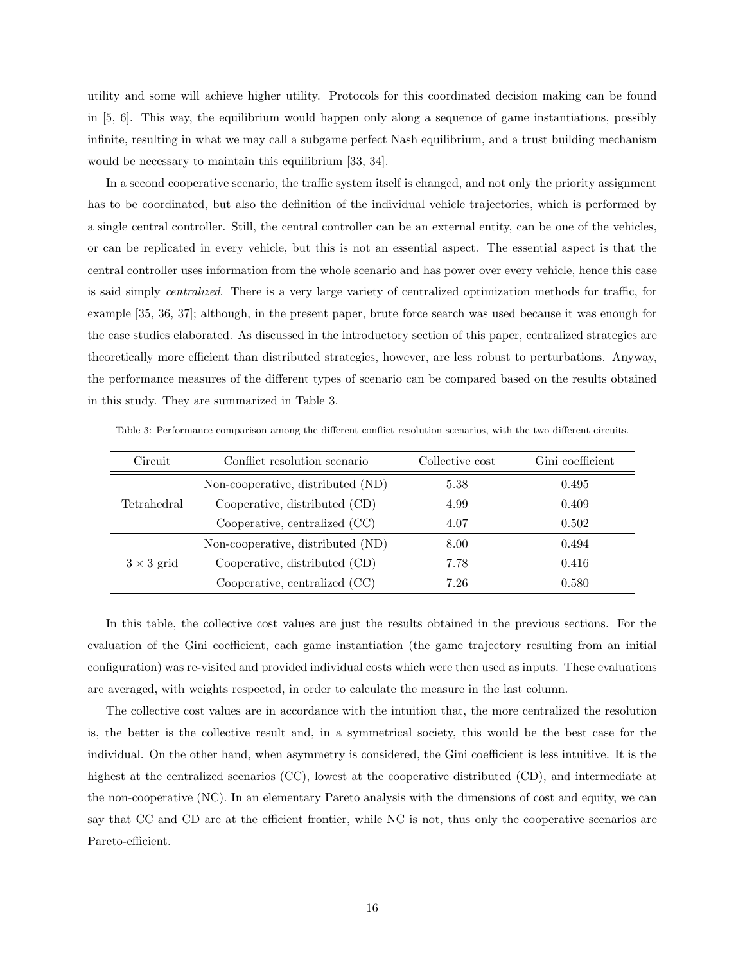utility and some will achieve higher utility. Protocols for this coordinated decision making can be found in [5, 6]. This way, the equilibrium would happen only along a sequence of game instantiations, possibly infinite, resulting in what we may call a subgame perfect Nash equilibrium, and a trust building mechanism would be necessary to maintain this equilibrium [33, 34].

In a second cooperative scenario, the traffic system itself is changed, and not only the priority assignment has to be coordinated, but also the definition of the individual vehicle trajectories, which is performed by a single central controller. Still, the central controller can be an external entity, can be one of the vehicles, or can be replicated in every vehicle, but this is not an essential aspect. The essential aspect is that the central controller uses information from the whole scenario and has power over every vehicle, hence this case is said simply centralized. There is a very large variety of centralized optimization methods for traffic, for example [35, 36, 37]; although, in the present paper, brute force search was used because it was enough for the case studies elaborated. As discussed in the introductory section of this paper, centralized strategies are theoretically more efficient than distributed strategies, however, are less robust to perturbations. Anyway, the performance measures of the different types of scenario can be compared based on the results obtained in this study. They are summarized in Table 3.

| Circuit           | Conflict resolution scenario      |      | Gini coefficient |  |
|-------------------|-----------------------------------|------|------------------|--|
|                   | Non-cooperative, distributed (ND) | 5.38 | 0.495            |  |
| Tetrahedral       | Cooperative, distributed (CD)     | 4.99 | 0.409            |  |
|                   | Cooperative, centralized (CC)     | 4.07 | 0.502            |  |
|                   | Non-cooperative, distributed (ND) | 8.00 | 0.494            |  |
| $3 \times 3$ grid | Cooperative, distributed (CD)     | 7.78 | 0.416            |  |
|                   | Cooperative, centralized (CC)     | 7.26 | 0.580            |  |

Table 3: Performance comparison among the different conflict resolution scenarios, with the two different circuits.

In this table, the collective cost values are just the results obtained in the previous sections. For the evaluation of the Gini coefficient, each game instantiation (the game trajectory resulting from an initial configuration) was re-visited and provided individual costs which were then used as inputs. These evaluations are averaged, with weights respected, in order to calculate the measure in the last column.

The collective cost values are in accordance with the intuition that, the more centralized the resolution is, the better is the collective result and, in a symmetrical society, this would be the best case for the individual. On the other hand, when asymmetry is considered, the Gini coefficient is less intuitive. It is the highest at the centralized scenarios (CC), lowest at the cooperative distributed (CD), and intermediate at the non-cooperative (NC). In an elementary Pareto analysis with the dimensions of cost and equity, we can say that CC and CD are at the efficient frontier, while NC is not, thus only the cooperative scenarios are Pareto-efficient.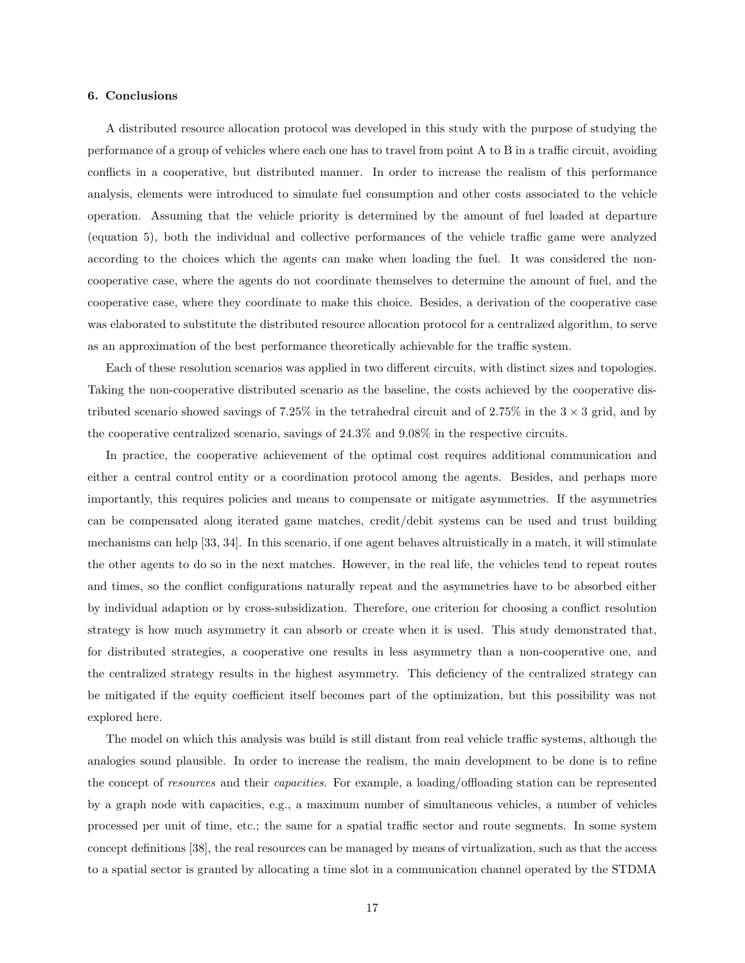#### 6. Conclusions

A distributed resource allocation protocol was developed in this study with the purpose of studying the performance of a group of vehicles where each one has to travel from point A to B in a traffic circuit, avoiding conflicts in a cooperative, but distributed manner. In order to increase the realism of this performance analysis, elements were introduced to simulate fuel consumption and other costs associated to the vehicle operation. Assuming that the vehicle priority is determined by the amount of fuel loaded at departure (equation 5), both the individual and collective performances of the vehicle traffic game were analyzed according to the choices which the agents can make when loading the fuel. It was considered the noncooperative case, where the agents do not coordinate themselves to determine the amount of fuel, and the cooperative case, where they coordinate to make this choice. Besides, a derivation of the cooperative case was elaborated to substitute the distributed resource allocation protocol for a centralized algorithm, to serve as an approximation of the best performance theoretically achievable for the traffic system.

Each of these resolution scenarios was applied in two different circuits, with distinct sizes and topologies. Taking the non-cooperative distributed scenario as the baseline, the costs achieved by the cooperative distributed scenario showed savings of 7.25% in the tetrahedral circuit and of 2.75% in the  $3 \times 3$  grid, and by the cooperative centralized scenario, savings of 24.3% and 9.08% in the respective circuits.

In practice, the cooperative achievement of the optimal cost requires additional communication and either a central control entity or a coordination protocol among the agents. Besides, and perhaps more importantly, this requires policies and means to compensate or mitigate asymmetries. If the asymmetries can be compensated along iterated game matches, credit/debit systems can be used and trust building mechanisms can help [33, 34]. In this scenario, if one agent behaves altruistically in a match, it will stimulate the other agents to do so in the next matches. However, in the real life, the vehicles tend to repeat routes and times, so the conflict configurations naturally repeat and the asymmetries have to be absorbed either by individual adaption or by cross-subsidization. Therefore, one criterion for choosing a conflict resolution strategy is how much asymmetry it can absorb or create when it is used. This study demonstrated that, for distributed strategies, a cooperative one results in less asymmetry than a non-cooperative one, and the centralized strategy results in the highest asymmetry. This deficiency of the centralized strategy can be mitigated if the equity coefficient itself becomes part of the optimization, but this possibility was not explored here.

The model on which this analysis was build is still distant from real vehicle traffic systems, although the analogies sound plausible. In order to increase the realism, the main development to be done is to refine the concept of resources and their capacities. For example, a loading/offloading station can be represented by a graph node with capacities, e.g., a maximum number of simultaneous vehicles, a number of vehicles processed per unit of time, etc.; the same for a spatial traffic sector and route segments. In some system concept definitions [38], the real resources can be managed by means of virtualization, such as that the access to a spatial sector is granted by allocating a time slot in a communication channel operated by the STDMA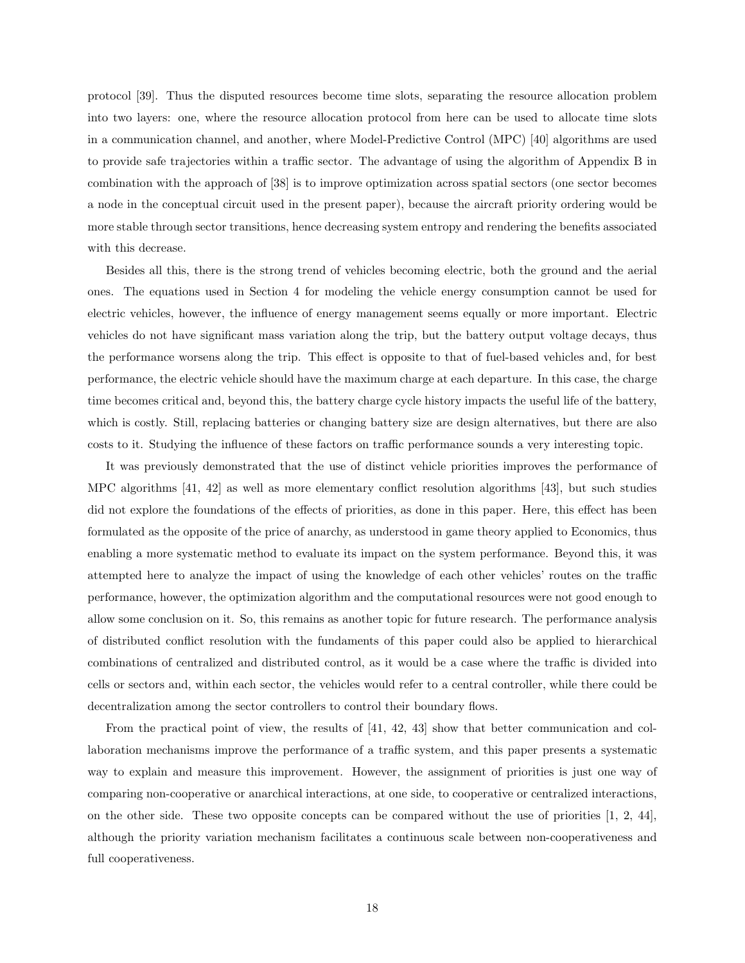protocol [39]. Thus the disputed resources become time slots, separating the resource allocation problem into two layers: one, where the resource allocation protocol from here can be used to allocate time slots in a communication channel, and another, where Model-Predictive Control (MPC) [40] algorithms are used to provide safe trajectories within a traffic sector. The advantage of using the algorithm of Appendix B in combination with the approach of [38] is to improve optimization across spatial sectors (one sector becomes a node in the conceptual circuit used in the present paper), because the aircraft priority ordering would be more stable through sector transitions, hence decreasing system entropy and rendering the benefits associated with this decrease.

Besides all this, there is the strong trend of vehicles becoming electric, both the ground and the aerial ones. The equations used in Section 4 for modeling the vehicle energy consumption cannot be used for electric vehicles, however, the influence of energy management seems equally or more important. Electric vehicles do not have significant mass variation along the trip, but the battery output voltage decays, thus the performance worsens along the trip. This effect is opposite to that of fuel-based vehicles and, for best performance, the electric vehicle should have the maximum charge at each departure. In this case, the charge time becomes critical and, beyond this, the battery charge cycle history impacts the useful life of the battery, which is costly. Still, replacing batteries or changing battery size are design alternatives, but there are also costs to it. Studying the influence of these factors on traffic performance sounds a very interesting topic.

It was previously demonstrated that the use of distinct vehicle priorities improves the performance of MPC algorithms [41, 42] as well as more elementary conflict resolution algorithms [43], but such studies did not explore the foundations of the effects of priorities, as done in this paper. Here, this effect has been formulated as the opposite of the price of anarchy, as understood in game theory applied to Economics, thus enabling a more systematic method to evaluate its impact on the system performance. Beyond this, it was attempted here to analyze the impact of using the knowledge of each other vehicles' routes on the traffic performance, however, the optimization algorithm and the computational resources were not good enough to allow some conclusion on it. So, this remains as another topic for future research. The performance analysis of distributed conflict resolution with the fundaments of this paper could also be applied to hierarchical combinations of centralized and distributed control, as it would be a case where the traffic is divided into cells or sectors and, within each sector, the vehicles would refer to a central controller, while there could be decentralization among the sector controllers to control their boundary flows.

From the practical point of view, the results of [41, 42, 43] show that better communication and collaboration mechanisms improve the performance of a traffic system, and this paper presents a systematic way to explain and measure this improvement. However, the assignment of priorities is just one way of comparing non-cooperative or anarchical interactions, at one side, to cooperative or centralized interactions, on the other side. These two opposite concepts can be compared without the use of priorities [1, 2, 44], although the priority variation mechanism facilitates a continuous scale between non-cooperativeness and full cooperativeness.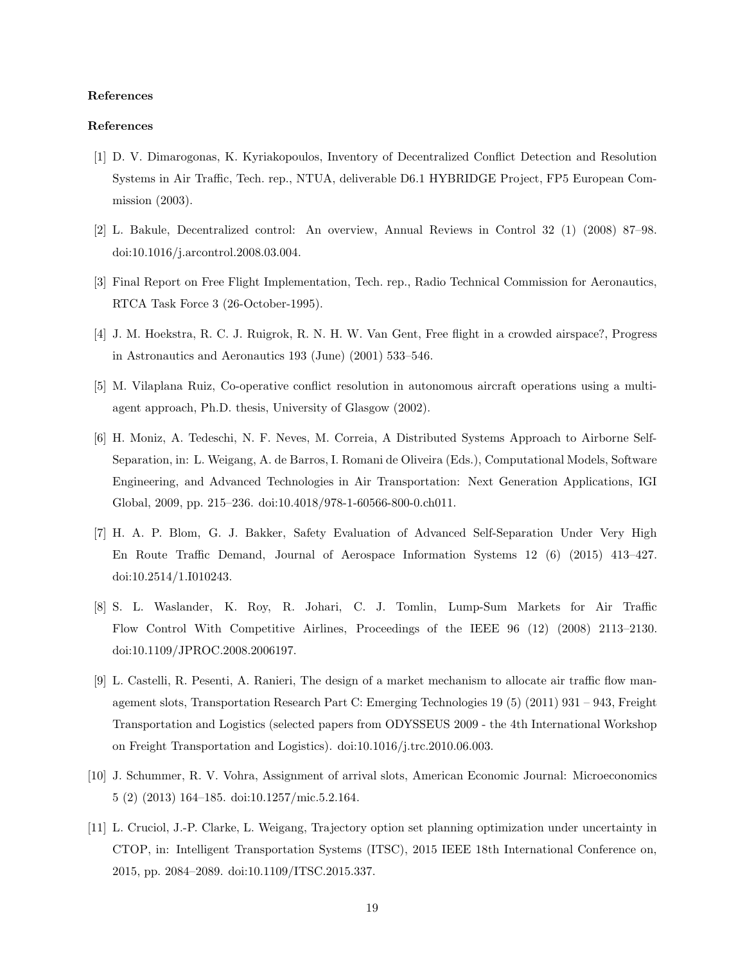# References

# References

- [1] D. V. Dimarogonas, K. Kyriakopoulos, Inventory of Decentralized Conflict Detection and Resolution Systems in Air Traffic, Tech. rep., NTUA, deliverable D6.1 HYBRIDGE Project, FP5 European Commission (2003).
- [2] L. Bakule, Decentralized control: An overview, Annual Reviews in Control 32 (1) (2008) 87–98. doi:10.1016/j.arcontrol.2008.03.004.
- [3] Final Report on Free Flight Implementation, Tech. rep., Radio Technical Commission for Aeronautics, RTCA Task Force 3 (26-October-1995).
- [4] J. M. Hoekstra, R. C. J. Ruigrok, R. N. H. W. Van Gent, Free flight in a crowded airspace?, Progress in Astronautics and Aeronautics 193 (June) (2001) 533–546.
- [5] M. Vilaplana Ruiz, Co-operative conflict resolution in autonomous aircraft operations using a multiagent approach, Ph.D. thesis, University of Glasgow (2002).
- [6] H. Moniz, A. Tedeschi, N. F. Neves, M. Correia, A Distributed Systems Approach to Airborne Self-Separation, in: L. Weigang, A. de Barros, I. Romani de Oliveira (Eds.), Computational Models, Software Engineering, and Advanced Technologies in Air Transportation: Next Generation Applications, IGI Global, 2009, pp. 215–236. doi:10.4018/978-1-60566-800-0.ch011.
- [7] H. A. P. Blom, G. J. Bakker, Safety Evaluation of Advanced Self-Separation Under Very High En Route Traffic Demand, Journal of Aerospace Information Systems 12 (6) (2015) 413–427. doi:10.2514/1.I010243.
- [8] S. L. Waslander, K. Roy, R. Johari, C. J. Tomlin, Lump-Sum Markets for Air Traffic Flow Control With Competitive Airlines, Proceedings of the IEEE 96 (12) (2008) 2113–2130. doi:10.1109/JPROC.2008.2006197.
- [9] L. Castelli, R. Pesenti, A. Ranieri, The design of a market mechanism to allocate air traffic flow management slots, Transportation Research Part C: Emerging Technologies 19 (5) (2011) 931 – 943, Freight Transportation and Logistics (selected papers from ODYSSEUS 2009 - the 4th International Workshop on Freight Transportation and Logistics). doi:10.1016/j.trc.2010.06.003.
- [10] J. Schummer, R. V. Vohra, Assignment of arrival slots, American Economic Journal: Microeconomics 5 (2) (2013) 164–185. doi:10.1257/mic.5.2.164.
- [11] L. Cruciol, J.-P. Clarke, L. Weigang, Trajectory option set planning optimization under uncertainty in CTOP, in: Intelligent Transportation Systems (ITSC), 2015 IEEE 18th International Conference on, 2015, pp. 2084–2089. doi:10.1109/ITSC.2015.337.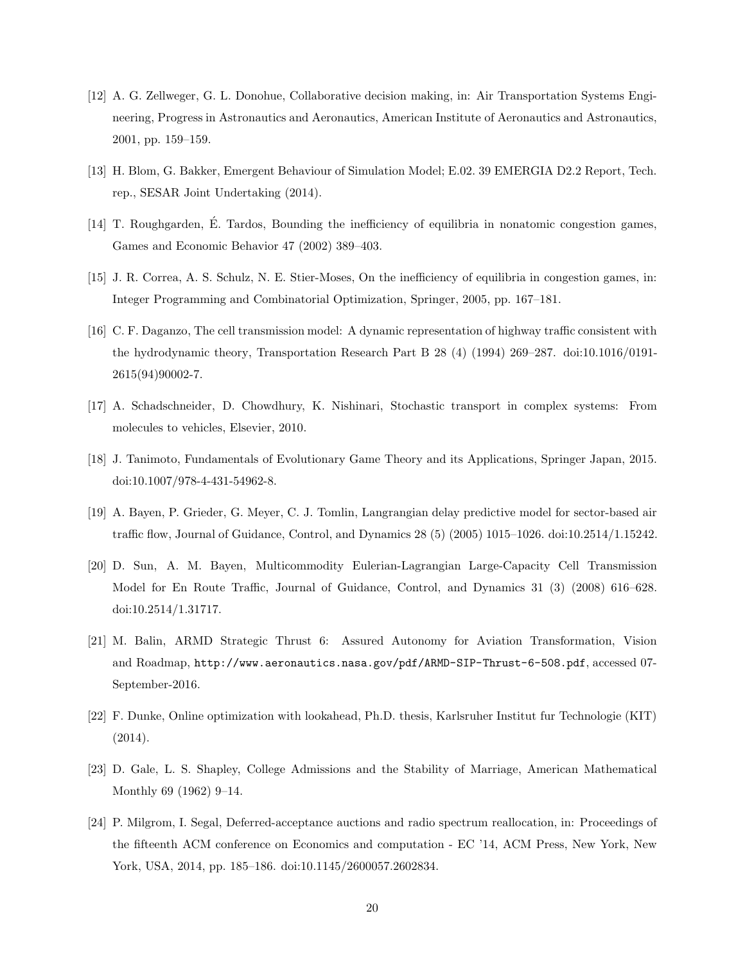- [12] A. G. Zellweger, G. L. Donohue, Collaborative decision making, in: Air Transportation Systems Engineering, Progress in Astronautics and Aeronautics, American Institute of Aeronautics and Astronautics, 2001, pp. 159–159.
- [13] H. Blom, G. Bakker, Emergent Behaviour of Simulation Model; E.02. 39 EMERGIA D2.2 Report, Tech. rep., SESAR Joint Undertaking (2014).
- $[14]$  T. Roughgarden, E. Tardos, Bounding the inefficiency of equilibria in nonatomic congestion games, Games and Economic Behavior 47 (2002) 389–403.
- [15] J. R. Correa, A. S. Schulz, N. E. Stier-Moses, On the inefficiency of equilibria in congestion games, in: Integer Programming and Combinatorial Optimization, Springer, 2005, pp. 167–181.
- [16] C. F. Daganzo, The cell transmission model: A dynamic representation of highway traffic consistent with the hydrodynamic theory, Transportation Research Part B 28 (4) (1994) 269–287. doi:10.1016/0191- 2615(94)90002-7.
- [17] A. Schadschneider, D. Chowdhury, K. Nishinari, Stochastic transport in complex systems: From molecules to vehicles, Elsevier, 2010.
- [18] J. Tanimoto, Fundamentals of Evolutionary Game Theory and its Applications, Springer Japan, 2015. doi:10.1007/978-4-431-54962-8.
- [19] A. Bayen, P. Grieder, G. Meyer, C. J. Tomlin, Langrangian delay predictive model for sector-based air traffic flow, Journal of Guidance, Control, and Dynamics 28 (5) (2005) 1015–1026. doi:10.2514/1.15242.
- [20] D. Sun, A. M. Bayen, Multicommodity Eulerian-Lagrangian Large-Capacity Cell Transmission Model for En Route Traffic, Journal of Guidance, Control, and Dynamics 31 (3) (2008) 616–628. doi:10.2514/1.31717.
- [21] M. Balin, ARMD Strategic Thrust 6: Assured Autonomy for Aviation Transformation, Vision and Roadmap, http://www.aeronautics.nasa.gov/pdf/ARMD-SIP-Thrust-6-508.pdf, accessed 07- September-2016.
- [22] F. Dunke, Online optimization with lookahead, Ph.D. thesis, Karlsruher Institut fur Technologie (KIT) (2014).
- [23] D. Gale, L. S. Shapley, College Admissions and the Stability of Marriage, American Mathematical Monthly 69 (1962) 9–14.
- [24] P. Milgrom, I. Segal, Deferred-acceptance auctions and radio spectrum reallocation, in: Proceedings of the fifteenth ACM conference on Economics and computation - EC '14, ACM Press, New York, New York, USA, 2014, pp. 185–186. doi:10.1145/2600057.2602834.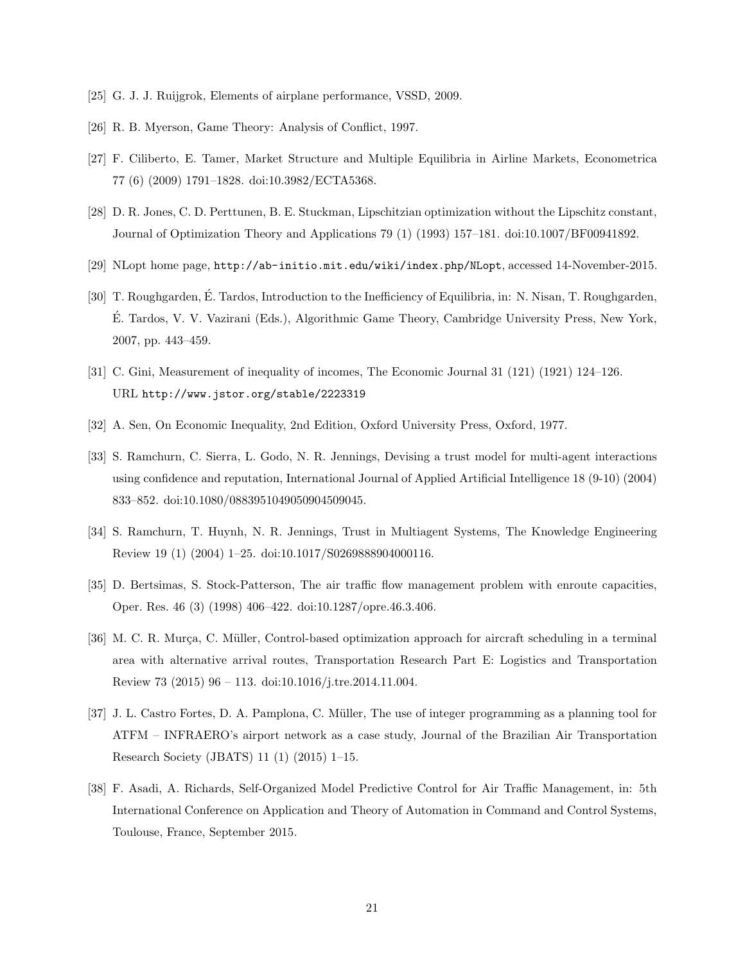- [25] G. J. J. Ruijgrok, Elements of airplane performance, VSSD, 2009.
- [26] R. B. Myerson, Game Theory: Analysis of Conflict, 1997.
- [27] F. Ciliberto, E. Tamer, Market Structure and Multiple Equilibria in Airline Markets, Econometrica 77 (6) (2009) 1791–1828. doi:10.3982/ECTA5368.
- [28] D. R. Jones, C. D. Perttunen, B. E. Stuckman, Lipschitzian optimization without the Lipschitz constant, Journal of Optimization Theory and Applications 79 (1) (1993) 157–181. doi:10.1007/BF00941892.
- [29] NLopt home page, http://ab-initio.mit.edu/wiki/index.php/NLopt, accessed 14-November-2015.
- [30] T. Roughgarden, É. Tardos, Introduction to the Inefficiency of Equilibria, in: N. Nisan, T. Roughgarden, E. Tardos, V. V. Vazirani (Eds.), Algorithmic Game Theory, Cambridge University Press, New York, 2007, pp. 443–459.
- [31] C. Gini, Measurement of inequality of incomes, The Economic Journal 31 (121) (1921) 124–126. URL http://www.jstor.org/stable/2223319
- [32] A. Sen, On Economic Inequality, 2nd Edition, Oxford University Press, Oxford, 1977.
- [33] S. Ramchurn, C. Sierra, L. Godo, N. R. Jennings, Devising a trust model for multi-agent interactions using confidence and reputation, International Journal of Applied Artificial Intelligence 18 (9-10) (2004) 833–852. doi:10.1080/0883951049050904509045.
- [34] S. Ramchurn, T. Huynh, N. R. Jennings, Trust in Multiagent Systems, The Knowledge Engineering Review 19 (1) (2004) 1–25. doi:10.1017/S0269888904000116.
- [35] D. Bertsimas, S. Stock-Patterson, The air traffic flow management problem with enroute capacities, Oper. Res. 46 (3) (1998) 406–422. doi:10.1287/opre.46.3.406.
- [36] M. C. R. Murca, C. Müller, Control-based optimization approach for aircraft scheduling in a terminal area with alternative arrival routes, Transportation Research Part E: Logistics and Transportation Review 73 (2015) 96 – 113. doi:10.1016/j.tre.2014.11.004.
- [37] J. L. Castro Fortes, D. A. Pamplona, C. Müller, The use of integer programming as a planning tool for ATFM – INFRAERO's airport network as a case study, Journal of the Brazilian Air Transportation Research Society (JBATS) 11 (1) (2015) 1–15.
- [38] F. Asadi, A. Richards, Self-Organized Model Predictive Control for Air Traffic Management, in: 5th International Conference on Application and Theory of Automation in Command and Control Systems, Toulouse, France, September 2015.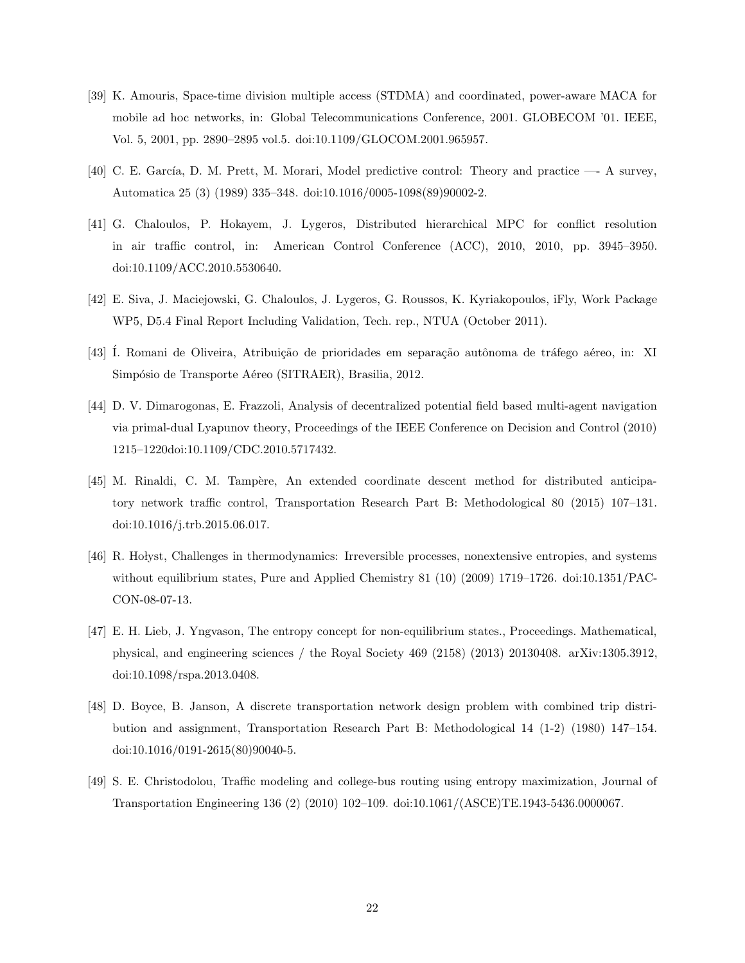- [39] K. Amouris, Space-time division multiple access (STDMA) and coordinated, power-aware MACA for mobile ad hoc networks, in: Global Telecommunications Conference, 2001. GLOBECOM '01. IEEE, Vol. 5, 2001, pp. 2890–2895 vol.5. doi:10.1109/GLOCOM.2001.965957.
- [40] C. E. García, D. M. Prett, M. Morari, Model predictive control: Theory and practice A survey, Automatica 25 (3) (1989) 335–348. doi:10.1016/0005-1098(89)90002-2.
- [41] G. Chaloulos, P. Hokayem, J. Lygeros, Distributed hierarchical MPC for conflict resolution in air traffic control, in: American Control Conference (ACC), 2010, 2010, pp. 3945–3950. doi:10.1109/ACC.2010.5530640.
- [42] E. Siva, J. Maciejowski, G. Chaloulos, J. Lygeros, G. Roussos, K. Kyriakopoulos, iFly, Work Package WP5, D5.4 Final Report Including Validation, Tech. rep., NTUA (October 2011).
- [43] I. Romani de Oliveira, Atribuição de prioridades em separação autônoma de tráfego aéreo, in: XI Simpósio de Transporte Aéreo (SITRAER), Brasilia, 2012.
- [44] D. V. Dimarogonas, E. Frazzoli, Analysis of decentralized potential field based multi-agent navigation via primal-dual Lyapunov theory, Proceedings of the IEEE Conference on Decision and Control (2010) 1215–1220doi:10.1109/CDC.2010.5717432.
- [45] M. Rinaldi, C. M. Tampère, An extended coordinate descent method for distributed anticipatory network traffic control, Transportation Research Part B: Methodological 80 (2015) 107–131. doi:10.1016/j.trb.2015.06.017.
- [46] R. Holyst, Challenges in thermodynamics: Irreversible processes, nonextensive entropies, and systems without equilibrium states, Pure and Applied Chemistry 81 (10) (2009) 1719–1726. doi:10.1351/PAC-CON-08-07-13.
- [47] E. H. Lieb, J. Yngvason, The entropy concept for non-equilibrium states., Proceedings. Mathematical, physical, and engineering sciences / the Royal Society 469 (2158) (2013) 20130408. arXiv:1305.3912, doi:10.1098/rspa.2013.0408.
- [48] D. Boyce, B. Janson, A discrete transportation network design problem with combined trip distribution and assignment, Transportation Research Part B: Methodological 14 (1-2) (1980) 147–154. doi:10.1016/0191-2615(80)90040-5.
- [49] S. E. Christodolou, Traffic modeling and college-bus routing using entropy maximization, Journal of Transportation Engineering 136 (2) (2010) 102–109. doi:10.1061/(ASCE)TE.1943-5436.0000067.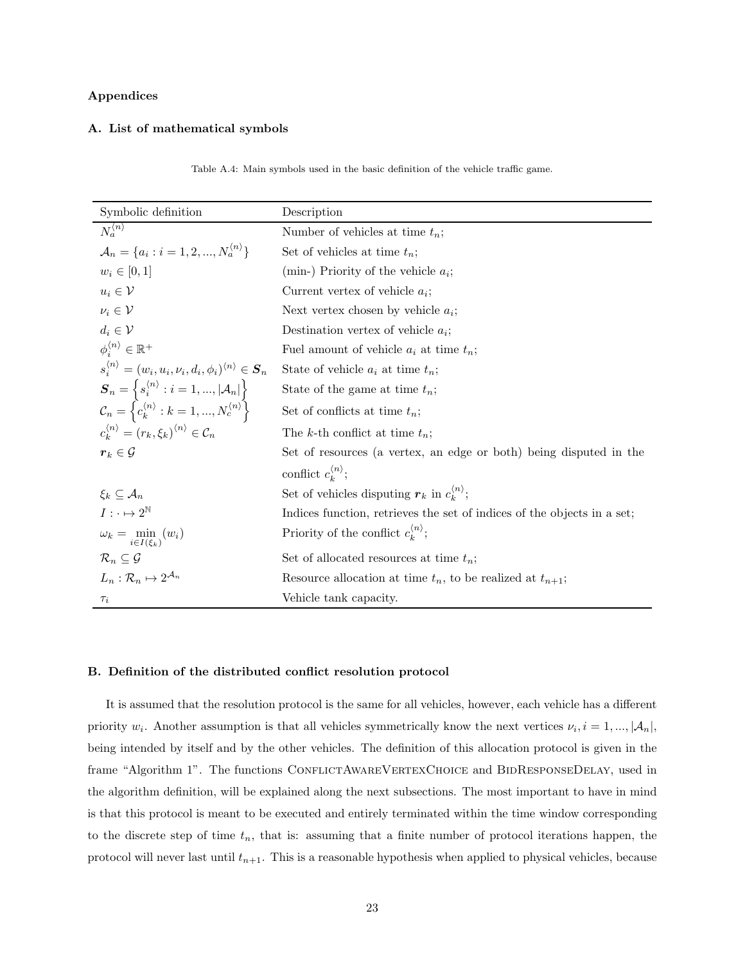# Appendices

# A. List of mathematical symbols

| Symbolic definition                                                                              | Description                                                             |
|--------------------------------------------------------------------------------------------------|-------------------------------------------------------------------------|
| $N_a^{\langle n \rangle}$                                                                        | Number of vehicles at time $t_n$ ;                                      |
| $\mathcal{A}_n = \{a_i : i = 1, 2, , N_a^{(n)}\}\$                                               | Set of vehicles at time $t_n$ ;                                         |
| $w_i \in [0,1]$                                                                                  | (min-) Priority of the vehicle $a_i$ ;                                  |
| $u_i \in \mathcal{V}$                                                                            | Current vertex of vehicle $a_i$ ;                                       |
| $\nu_i \in \mathcal{V}$                                                                          | Next vertex chosen by vehicle $a_i$ ;                                   |
| $d_i \in \mathcal{V}$                                                                            | Destination vertex of vehicle $a_i$ ;                                   |
| $\phi_i^{\langle n \rangle} \in \mathbb{R}^+$                                                    | Fuel amount of vehicle $a_i$ at time $t_n$ ;                            |
| $s_i^{\langle n \rangle} = (w_i, u_i, \nu_i, d_i, \phi_i)^{\langle n \rangle} \in \mathcal{S}_n$ | State of vehicle $a_i$ at time $t_n$ ;                                  |
| $\boldsymbol{S}_n = \left\{s_i^{\langle n \rangle}: i = 1, ,  \mathcal{A}_n \right\}$            | State of the game at time $t_n$ ;                                       |
| $\mathcal{C}_n = \left\{c_k^{\langle n \rangle}: k = 1, , N_c^{\langle n \rangle}\right\}$       | Set of conflicts at time $t_n$ ;                                        |
| $c_k^{\langle n \rangle} = (r_k, \xi_k)^{\langle n \rangle} \in \mathcal{C}_n$                   | The k-th conflict at time $t_n$ ;                                       |
| $\bm{r}_k \in \mathcal{G}$                                                                       | Set of resources (a vertex, an edge or both) being disputed in the      |
|                                                                                                  | conflict $c_k^{\langle n \rangle};$                                     |
| $\xi_k \subseteq \mathcal{A}_n$                                                                  | Set of vehicles disputing $r_k$ in $c_k^{\langle n \rangle}$ ;          |
| $I: \cdot \mapsto 2^{\mathbb{N}}$                                                                | Indices function, retrieves the set of indices of the objects in a set; |
| $\omega_k = \min_{i \in I(\xi_k)} (w_i)$                                                         | Priority of the conflict $c_k^{(n)}$ ;                                  |
| $\mathcal{R}_n \subseteq \mathcal{G}$                                                            | Set of allocated resources at time $t_n$ ;                              |
| $L_n : \mathcal{R}_n \mapsto 2^{\mathcal{A}_n}$                                                  | Resource allocation at time $t_n$ , to be realized at $t_{n+1}$ ;       |
| $\tau_i$                                                                                         | Vehicle tank capacity.                                                  |

Table A.4: Main symbols used in the basic definition of the vehicle traffic game.

## B. Definition of the distributed conflict resolution protocol

It is assumed that the resolution protocol is the same for all vehicles, however, each vehicle has a different priority  $w_i$ . Another assumption is that all vehicles symmetrically know the next vertices  $\nu_i$ ,  $i = 1, ..., |\mathcal{A}_n|$ , being intended by itself and by the other vehicles. The definition of this allocation protocol is given in the frame "Algorithm 1". The functions CONFLICTAWAREVERTEXCHOICE and BIDRESPONSEDELAY, used in the algorithm definition, will be explained along the next subsections. The most important to have in mind is that this protocol is meant to be executed and entirely terminated within the time window corresponding to the discrete step of time  $t_n$ , that is: assuming that a finite number of protocol iterations happen, the protocol will never last until  $t_{n+1}$ . This is a reasonable hypothesis when applied to physical vehicles, because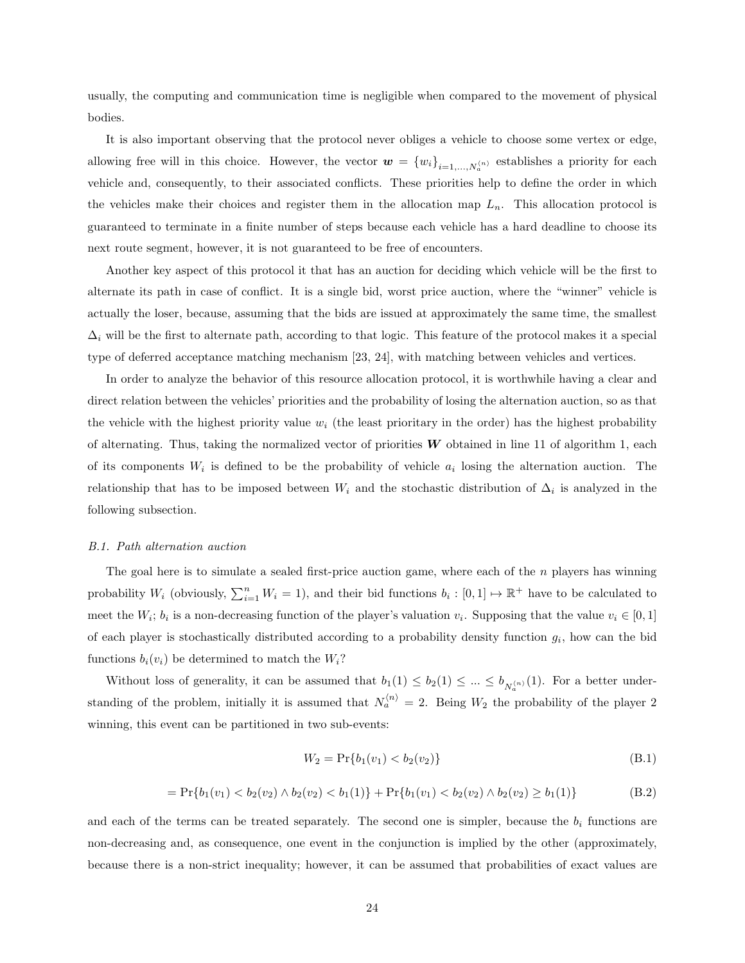usually, the computing and communication time is negligible when compared to the movement of physical bodies.

It is also important observing that the protocol never obliges a vehicle to choose some vertex or edge, allowing free will in this choice. However, the vector  $\mathbf{w} = (w_i)_{i=1,\dots,N_a^{(n)}}$  establishes a priority for each vehicle and, consequently, to their associated conflicts. These priorities help to define the order in which the vehicles make their choices and register them in the allocation map  $L_n$ . This allocation protocol is guaranteed to terminate in a finite number of steps because each vehicle has a hard deadline to choose its next route segment, however, it is not guaranteed to be free of encounters.

Another key aspect of this protocol it that has an auction for deciding which vehicle will be the first to alternate its path in case of conflict. It is a single bid, worst price auction, where the "winner" vehicle is actually the loser, because, assuming that the bids are issued at approximately the same time, the smallest  $\Delta_i$  will be the first to alternate path, according to that logic. This feature of the protocol makes it a special type of deferred acceptance matching mechanism [23, 24], with matching between vehicles and vertices.

In order to analyze the behavior of this resource allocation protocol, it is worthwhile having a clear and direct relation between the vehicles' priorities and the probability of losing the alternation auction, so as that the vehicle with the highest priority value  $w_i$  (the least prioritary in the order) has the highest probability of alternating. Thus, taking the normalized vector of priorities  $W$  obtained in line 11 of algorithm 1, each of its components  $W_i$  is defined to be the probability of vehicle  $a_i$  losing the alternation auction. The relationship that has to be imposed between  $W_i$  and the stochastic distribution of  $\Delta_i$  is analyzed in the following subsection.

#### B.1. Path alternation auction

The goal here is to simulate a sealed first-price auction game, where each of the n players has winning probability  $W_i$  (obviously,  $\sum_{i=1}^n W_i = 1$ ), and their bid functions  $b_i : [0,1] \mapsto \mathbb{R}^+$  have to be calculated to meet the  $W_i$ ;  $b_i$  is a non-decreasing function of the player's valuation  $v_i$ . Supposing that the value  $v_i \in [0,1]$ of each player is stochastically distributed according to a probability density function  $g_i$ , how can the bid functions  $b_i(v_i)$  be determined to match the  $W_i$ ?

Without loss of generality, it can be assumed that  $b_1(1) \leq b_2(1) \leq ... \leq b_{N_a^{(n)}}(1)$ . For a better understanding of the problem, initially it is assumed that  $N_a^{(n)} = 2$ . Being  $W_2$  the probability of the player 2 winning, this event can be partitioned in two sub-events:

$$
W_2 = \Pr\{b_1(v_1) < b_2(v_2)\}\tag{B.1}
$$

$$
= \Pr\{b_1(v_1) < b_2(v_2) \land b_2(v_2) < b_1(1)\} + \Pr\{b_1(v_1) < b_2(v_2) \land b_2(v_2) \ge b_1(1)\} \tag{B.2}
$$

and each of the terms can be treated separately. The second one is simpler, because the  $b_i$  functions are non-decreasing and, as consequence, one event in the conjunction is implied by the other (approximately, because there is a non-strict inequality; however, it can be assumed that probabilities of exact values are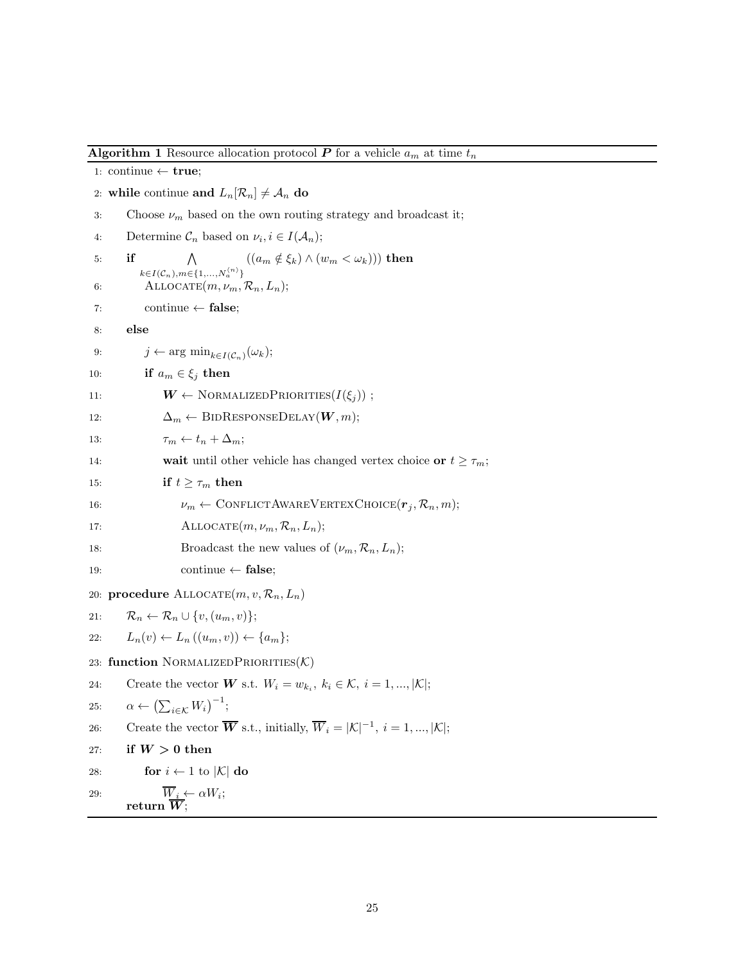|          | 1: continue $\leftarrow$ true;                                                                                                                              |
|----------|-------------------------------------------------------------------------------------------------------------------------------------------------------------|
|          | 2: while continue and $L_n[\mathcal{R}_n] \neq \mathcal{A}_n$ do                                                                                            |
| 3:       | Choose $\nu_m$ based on the own routing strategy and broadcast it;                                                                                          |
| 4:       | Determine $\mathcal{C}_n$ based on $\nu_i, i \in I(\mathcal{A}_n);$                                                                                         |
| 5:<br>6: | $\bigwedge_{k\in I(\mathcal{C}_n),m\in\{1,,N_a^{(n)}\}} ((a_m\notin \xi_k)\wedge (w_m<\omega_k)))$ then<br>if<br>ALLOCATE $(m, \nu_m, \mathcal{R}_n, L_n);$ |
| 7:       | $\text{continue} \leftarrow \text{false};$                                                                                                                  |
| 8:       | else                                                                                                                                                        |
| 9:       | $j \leftarrow \arg \min_{k \in I(\mathcal{C}_n)} (\omega_k);$                                                                                               |
| 10:      | if $a_m \in \xi_j$ then                                                                                                                                     |
| 11:      | $W \leftarrow \text{NORMALIZEDPRORITIES}(I(\xi_j))$ ;                                                                                                       |
| 12:      | $\Delta_m \leftarrow$ BIDRESPONSEDELAY $(W, m)$ ;                                                                                                           |
| 13.      | $\tau_m \leftarrow t_n + \Delta_m;$                                                                                                                         |
| 14.      | <b>wait</b> until other vehicle has changed vertex choice <b>or</b> $t \geq \tau_m$ ;                                                                       |
| 15:      | if $t \geq \tau_m$ then                                                                                                                                     |
| 16:      | $\nu_m \leftarrow \text{CONFLICTAWAREVERTEXCHOICE}(\mathbf{r}_j, \mathcal{R}_n, m);$                                                                        |
| 17:      | ALLOCATE $(m, \nu_m, \mathcal{R}_n, L_n);$                                                                                                                  |
| 18.      | Broadcast the new values of $(\nu_m, \mathcal{R}_n, L_n)$ ;                                                                                                 |
| 19:      | continue $\leftarrow$ false;                                                                                                                                |
|          | 20: <b>procedure</b> ALLOCATE $(m, v, \mathcal{R}_n, L_n)$                                                                                                  |
| 21:      | $\mathcal{R}_n \leftarrow \mathcal{R}_n \cup \{v, (u_m, v)\};$                                                                                              |
| 22:      | $L_n(v) \leftarrow L_n((u_m, v)) \leftarrow \{a_m\};$                                                                                                       |
|          | 23: function NORMALIZEDPRIORITIES $(\mathcal{K})$                                                                                                           |
| 24.      | Create the vector <b>W</b> s.t. $W_i = w_{k_i}, k_i \in \mathcal{K}, i = 1, ,  \mathcal{K} ;$                                                               |
| 25.      | $\alpha \leftarrow (\sum_{i \in \mathcal{K}} W_i)^{-1};$                                                                                                    |
| 26:      | Create the vector $\overline{W}$ s.t., initially, $\overline{W}_i =  \mathcal{K} ^{-1}, i = 1, ,  \mathcal{K} $ ;                                           |
| 27:      | if $W > 0$ then                                                                                                                                             |
| 28.      | for $i \leftarrow 1$ to $ \mathcal{K} $ do                                                                                                                  |
| 29:      | $\overline{W_i} \leftarrow \alpha W_i;$ return $\overline{\pmb{W}};$                                                                                        |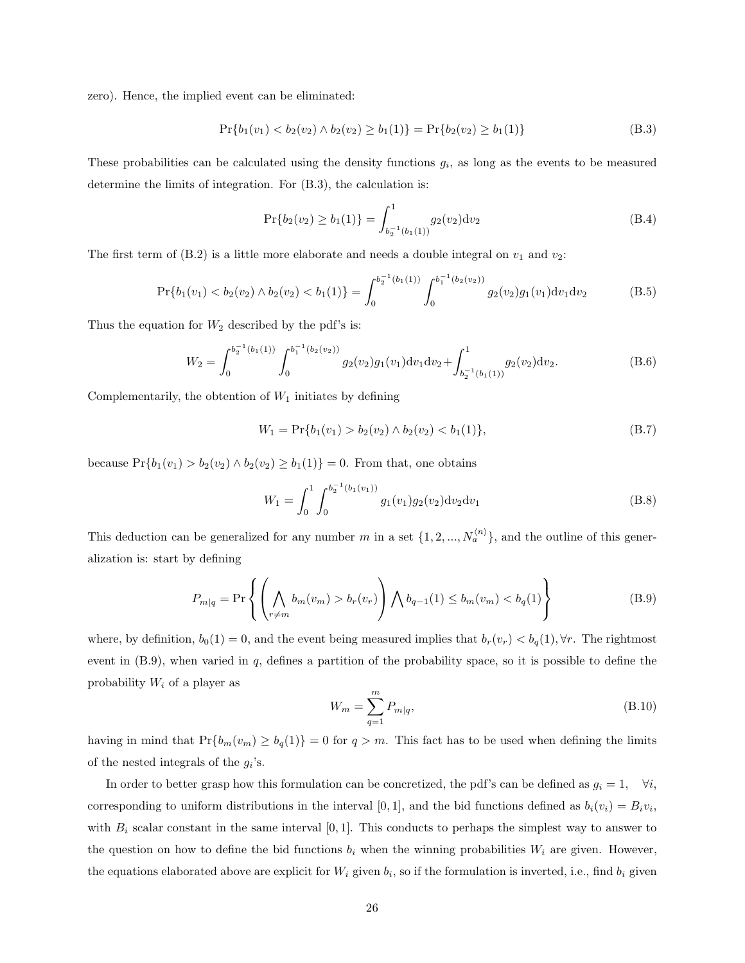zero). Hence, the implied event can be eliminated:

$$
Pr{b_1(v_1) < b_2(v_2) \land b_2(v_2) \ge b_1(1)} = Pr{b_2(v_2) \ge b_1(1)}\tag{B.3}
$$

These probabilities can be calculated using the density functions  $g_i$ , as long as the events to be measured determine the limits of integration. For (B.3), the calculation is:

$$
Pr{b_2(v_2) \ge b_1(1)} = \int_{b_2^{-1}(b_1(1))}^{1} g_2(v_2) dv_2
$$
\n(B.4)

The first term of  $(B.2)$  is a little more elaborate and needs a double integral on  $v_1$  and  $v_2$ :

$$
\Pr\{b_1(v_1) < b_2(v_2) \land b_2(v_2) < b_1(1)\} = \int_0^{b_2^{-1}(b_1(1))} \int_0^{b_1^{-1}(b_2(v_2))} g_2(v_2) g_1(v_1) \mathrm{d}v_1 \mathrm{d}v_2 \tag{B.5}
$$

Thus the equation for  $W_2$  described by the pdf's is:

$$
W_2 = \int_0^{b_2^{-1}(b_1(1))} \int_0^{b_1^{-1}(b_2(v_2))} g_2(v_2) g_1(v_1) \mathrm{d}v_1 \mathrm{d}v_2 + \int_{b_2^{-1}(b_1(1))}^1 g_2(v_2) \mathrm{d}v_2. \tag{B.6}
$$

Complementarily, the obtention of  $W_1$  initiates by defining

$$
W_1 = \Pr\{b_1(v_1) > b_2(v_2) \land b_2(v_2) < b_1(1)\},\tag{B.7}
$$

because  $Pr{b_1(v_1) > b_2(v_2) \land b_2(v_2) \ge b_1(1)} = 0$ . From that, one obtains

$$
W_1 = \int_0^1 \int_0^{b_2^{-1}(b_1(v_1))} g_1(v_1) g_2(v_2) \mathrm{d}v_2 \mathrm{d}v_1 \tag{B.8}
$$

This deduction can be generalized for any number m in a set  $\{1, 2, ..., N_a^{(n)}\}$ , and the outline of this generalization is: start by defining

$$
P_{m|q} = \Pr\left\{ \left( \bigwedge_{r \neq m} b_m(v_m) > b_r(v_r) \right) \bigwedge b_{q-1}(1) \leq b_m(v_m) < b_q(1) \right\} \tag{B.9}
$$

where, by definition,  $b_0(1) = 0$ , and the event being measured implies that  $b_r(v_r) < b_q(1)$ ,  $\forall r$ . The rightmost event in  $(B.9)$ , when varied in q, defines a partition of the probability space, so it is possible to define the probability  $W_i$  of a player as

$$
W_m = \sum_{q=1}^{m} P_{m|q},
$$
\n(B.10)

having in mind that  $Pr{b_m(v_m) \ge b_q(1)} = 0$  for  $q > m$ . This fact has to be used when defining the limits of the nested integrals of the  $g_i$ 's.

In order to better grasp how this formulation can be concretized, the pdf's can be defined as  $g_i = 1$ ,  $\forall i$ , corresponding to uniform distributions in the interval [0, 1], and the bid functions defined as  $b_i(v_i) = B_i v_i$ , with  $B_i$  scalar constant in the same interval [0, 1]. This conducts to perhaps the simplest way to answer to the question on how to define the bid functions  $b_i$  when the winning probabilities  $W_i$  are given. However, the equations elaborated above are explicit for  $W_i$  given  $b_i$ , so if the formulation is inverted, i.e., find  $b_i$  given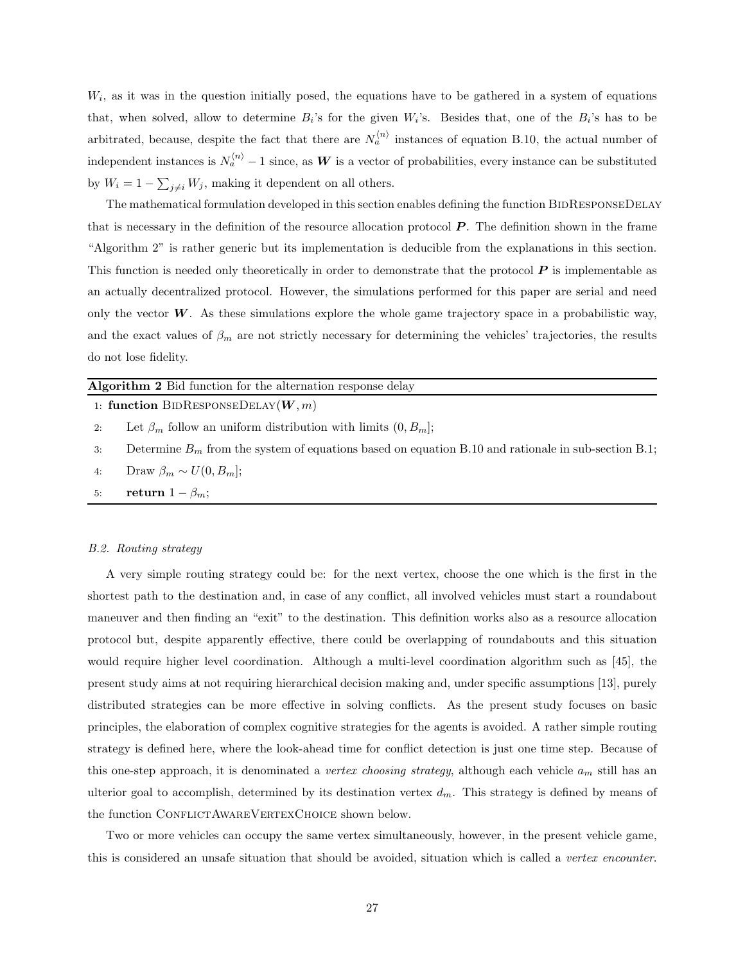$W_i$ , as it was in the question initially posed, the equations have to be gathered in a system of equations that, when solved, allow to determine  $B_i$ 's for the given  $W_i$ 's. Besides that, one of the  $B_i$ 's has to be arbitrated, because, despite the fact that there are  $N_a^{(n)}$  instances of equation B.10, the actual number of independent instances is  $N_a^{(n)} - 1$  since, as W is a vector of probabilities, every instance can be substituted by  $W_i = 1 - \sum_{j \neq i} W_j$ , making it dependent on all others.

The mathematical formulation developed in this section enables defining the function BIDRESPONSEDELAY that is necessary in the definition of the resource allocation protocol  $P$ . The definition shown in the frame "Algorithm 2" is rather generic but its implementation is deducible from the explanations in this section. This function is needed only theoretically in order to demonstrate that the protocol  $\bm{P}$  is implementable as an actually decentralized protocol. However, the simulations performed for this paper are serial and need only the vector  $W$ . As these simulations explore the whole game trajectory space in a probabilistic way, and the exact values of  $\beta_m$  are not strictly necessary for determining the vehicles' trajectories, the results do not lose fidelity.

# Algorithm 2 Bid function for the alternation response delay

- 1: function BIDRESPONSEDELAY $(W, m)$
- 2: Let  $\beta_m$  follow an uniform distribution with limits  $(0, B_m]$ ;
- 3: Determine  $B_m$  from the system of equations based on equation B.10 and rationale in sub-section B.1;
- 4: Draw  $\beta_m \sim U(0, B_m);$
- 5: return  $1 \beta_m$ ;

#### B.2. Routing strategy

A very simple routing strategy could be: for the next vertex, choose the one which is the first in the shortest path to the destination and, in case of any conflict, all involved vehicles must start a roundabout maneuver and then finding an "exit" to the destination. This definition works also as a resource allocation protocol but, despite apparently effective, there could be overlapping of roundabouts and this situation would require higher level coordination. Although a multi-level coordination algorithm such as [45], the present study aims at not requiring hierarchical decision making and, under specific assumptions [13], purely distributed strategies can be more effective in solving conflicts. As the present study focuses on basic principles, the elaboration of complex cognitive strategies for the agents is avoided. A rather simple routing strategy is defined here, where the look-ahead time for conflict detection is just one time step. Because of this one-step approach, it is denominated a vertex choosing strategy, although each vehicle  $a_m$  still has an ulterior goal to accomplish, determined by its destination vertex  $d_m$ . This strategy is defined by means of the function CONFLICTAWAREVERTEXCHOICE shown below.

Two or more vehicles can occupy the same vertex simultaneously, however, in the present vehicle game, this is considered an unsafe situation that should be avoided, situation which is called a vertex encounter.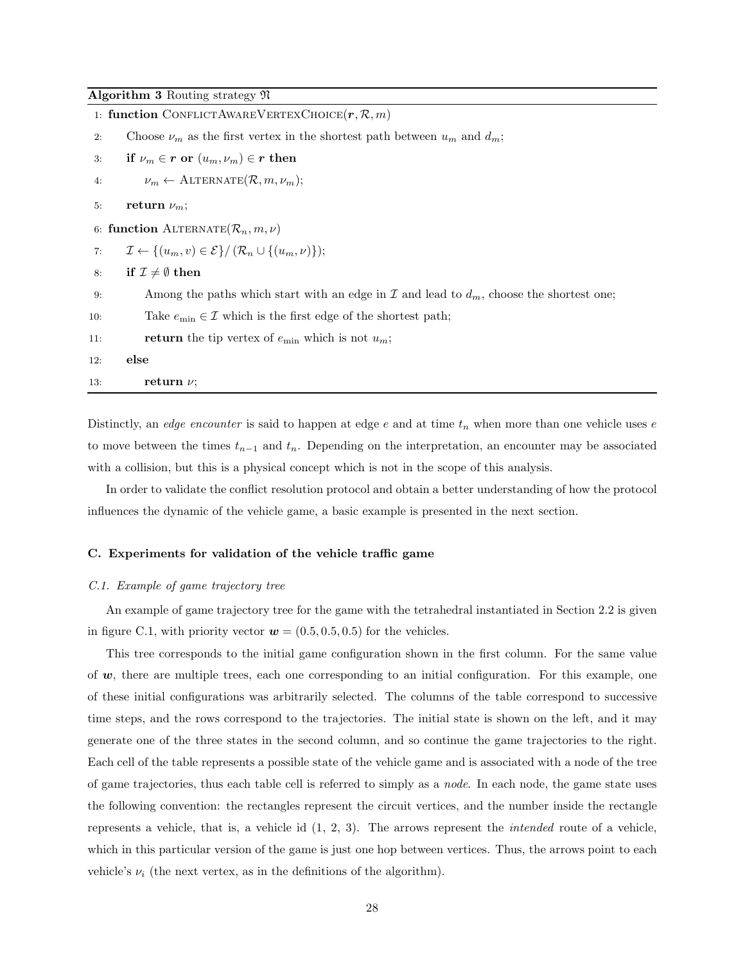Algorithm 3 Routing strategy N

|     | 1: function CONFLICTAWAREVERTEXCHOICE $(r, \mathcal{R}, m)$                                           |  |  |  |  |
|-----|-------------------------------------------------------------------------------------------------------|--|--|--|--|
| 2:  | Choose $\nu_m$ as the first vertex in the shortest path between $u_m$ and $d_m$ ;                     |  |  |  |  |
| 3:  | if $\nu_m \in \mathbf{r}$ or $(u_m, \nu_m) \in \mathbf{r}$ then                                       |  |  |  |  |
| 4:  | $\nu_m \leftarrow \text{ALTERNATE}(\mathcal{R}, m, \nu_m);$                                           |  |  |  |  |
| 5:  | return $\nu_m$ ;                                                                                      |  |  |  |  |
|     | 6: function ALTERNATE $(\mathcal{R}_n, m, \nu)$                                                       |  |  |  |  |
| 7:  | $\mathcal{I} \leftarrow \{(u_m, v) \in \mathcal{E}\}/(\mathcal{R}_n \cup \{(u_m, \nu)\});$            |  |  |  |  |
| 8:  | if $\mathcal{I} \neq \emptyset$ then                                                                  |  |  |  |  |
| 9:  | Among the paths which start with an edge in $\mathcal I$ and lead to $d_m$ , choose the shortest one; |  |  |  |  |
| 10: | Take $e_{\min} \in \mathcal{I}$ which is the first edge of the shortest path;                         |  |  |  |  |
| 11: | <b>return</b> the tip vertex of $e_{\min}$ which is not $u_m$ ;                                       |  |  |  |  |
| 12: | else                                                                                                  |  |  |  |  |
| 13: | return $\nu$ ;                                                                                        |  |  |  |  |

Distinctly, an *edge encounter* is said to happen at edge  $e$  and at time  $t_n$  when more than one vehicle uses  $e$ to move between the times  $t_{n-1}$  and  $t_n$ . Depending on the interpretation, an encounter may be associated with a collision, but this is a physical concept which is not in the scope of this analysis.

In order to validate the conflict resolution protocol and obtain a better understanding of how the protocol influences the dynamic of the vehicle game, a basic example is presented in the next section.

# C. Experiments for validation of the vehicle traffic game

#### C.1. Example of game trajectory tree

An example of game trajectory tree for the game with the tetrahedral instantiated in Section 2.2 is given in figure C.1, with priority vector  $\mathbf{w} = (0.5, 0.5, 0.5)$  for the vehicles.

This tree corresponds to the initial game configuration shown in the first column. For the same value of  $w$ , there are multiple trees, each one corresponding to an initial configuration. For this example, one of these initial configurations was arbitrarily selected. The columns of the table correspond to successive time steps, and the rows correspond to the trajectories. The initial state is shown on the left, and it may generate one of the three states in the second column, and so continue the game trajectories to the right. Each cell of the table represents a possible state of the vehicle game and is associated with a node of the tree of game trajectories, thus each table cell is referred to simply as a node. In each node, the game state uses the following convention: the rectangles represent the circuit vertices, and the number inside the rectangle represents a vehicle, that is, a vehicle id  $(1, 2, 3)$ . The arrows represent the *intended* route of a vehicle, which in this particular version of the game is just one hop between vertices. Thus, the arrows point to each vehicle's  $\nu_i$  (the next vertex, as in the definitions of the algorithm).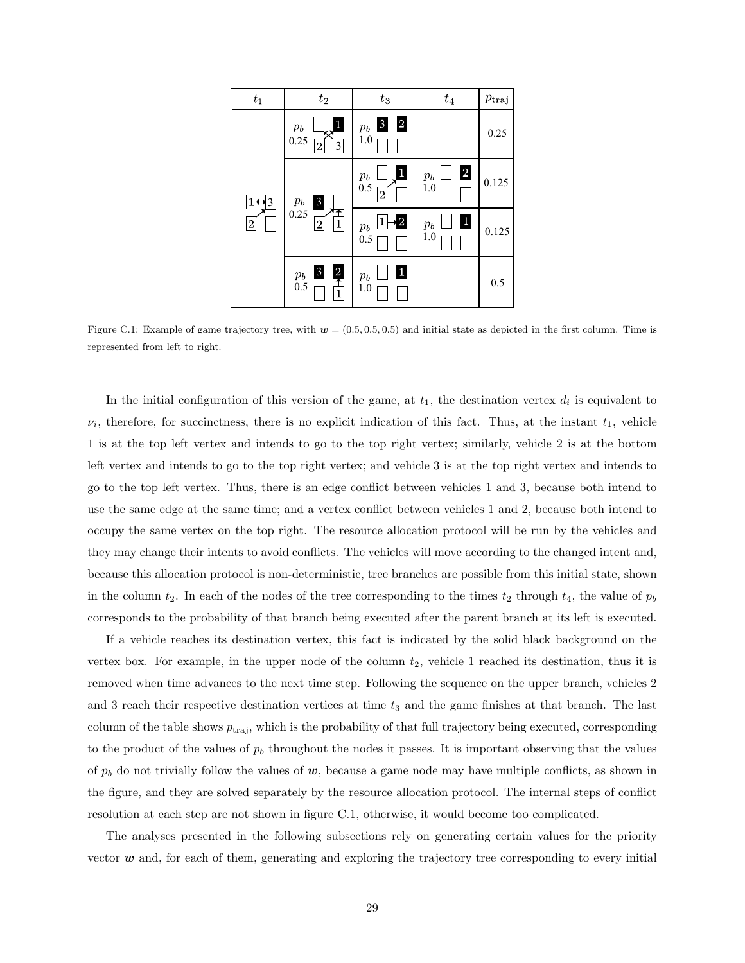

Figure C.1: Example of game trajectory tree, with  $w = (0.5, 0.5, 0.5)$  and initial state as depicted in the first column. Time is represented from left to right.

In the initial configuration of this version of the game, at  $t_1$ , the destination vertex  $d_i$  is equivalent to  $\nu_i$ , therefore, for succinctness, there is no explicit indication of this fact. Thus, at the instant  $t_1$ , vehicle 1 is at the top left vertex and intends to go to the top right vertex; similarly, vehicle 2 is at the bottom left vertex and intends to go to the top right vertex; and vehicle 3 is at the top right vertex and intends to go to the top left vertex. Thus, there is an edge conflict between vehicles 1 and 3, because both intend to use the same edge at the same time; and a vertex conflict between vehicles 1 and 2, because both intend to occupy the same vertex on the top right. The resource allocation protocol will be run by the vehicles and they may change their intents to avoid conflicts. The vehicles will move according to the changed intent and, because this allocation protocol is non-deterministic, tree branches are possible from this initial state, shown in the column  $t_2$ . In each of the nodes of the tree corresponding to the times  $t_2$  through  $t_4$ , the value of  $p_b$ corresponds to the probability of that branch being executed after the parent branch at its left is executed.

If a vehicle reaches its destination vertex, this fact is indicated by the solid black background on the vertex box. For example, in the upper node of the column  $t_2$ , vehicle 1 reached its destination, thus it is removed when time advances to the next time step. Following the sequence on the upper branch, vehicles 2 and 3 reach their respective destination vertices at time  $t_3$  and the game finishes at that branch. The last column of the table shows  $p_{\text{traj}}$ , which is the probability of that full trajectory being executed, corresponding to the product of the values of  $p<sub>b</sub>$  throughout the nodes it passes. It is important observing that the values of  $p_b$  do not trivially follow the values of  $w$ , because a game node may have multiple conflicts, as shown in the figure, and they are solved separately by the resource allocation protocol. The internal steps of conflict resolution at each step are not shown in figure C.1, otherwise, it would become too complicated.

The analyses presented in the following subsections rely on generating certain values for the priority vector  $w$  and, for each of them, generating and exploring the trajectory tree corresponding to every initial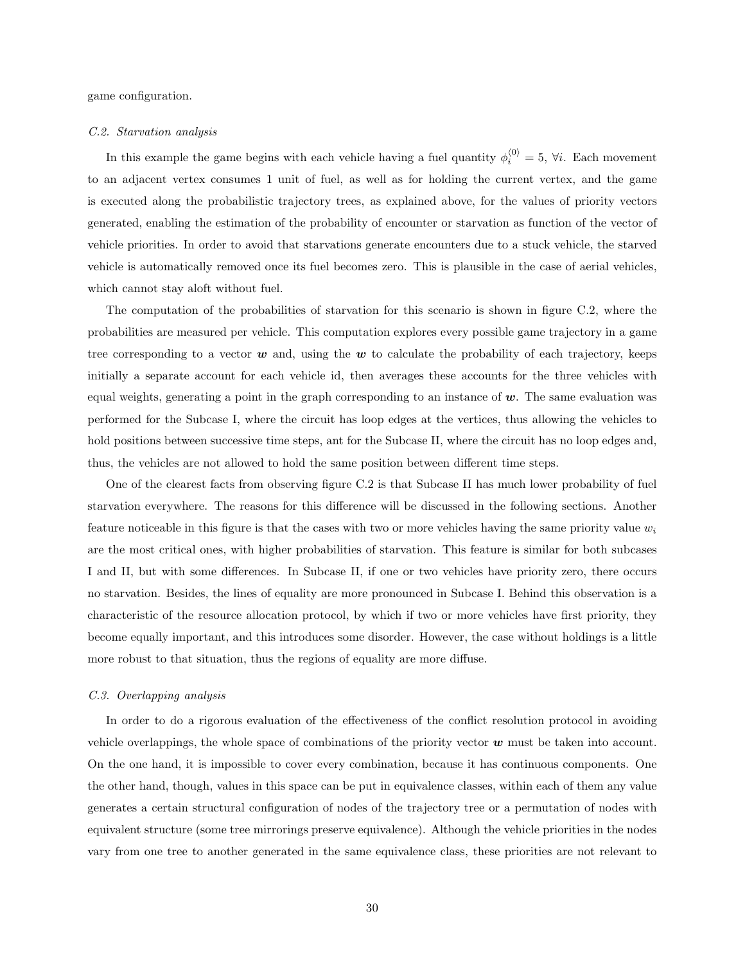game configuration.

## C.2. Starvation analysis

In this example the game begins with each vehicle having a fuel quantity  $\phi_i^{(0)} = 5$ ,  $\forall i$ . Each movement to an adjacent vertex consumes 1 unit of fuel, as well as for holding the current vertex, and the game is executed along the probabilistic trajectory trees, as explained above, for the values of priority vectors generated, enabling the estimation of the probability of encounter or starvation as function of the vector of vehicle priorities. In order to avoid that starvations generate encounters due to a stuck vehicle, the starved vehicle is automatically removed once its fuel becomes zero. This is plausible in the case of aerial vehicles, which cannot stay aloft without fuel.

The computation of the probabilities of starvation for this scenario is shown in figure C.2, where the probabilities are measured per vehicle. This computation explores every possible game trajectory in a game tree corresponding to a vector  $w$  and, using the  $w$  to calculate the probability of each trajectory, keeps initially a separate account for each vehicle id, then averages these accounts for the three vehicles with equal weights, generating a point in the graph corresponding to an instance of  $w$ . The same evaluation was performed for the Subcase I, where the circuit has loop edges at the vertices, thus allowing the vehicles to hold positions between successive time steps, ant for the Subcase II, where the circuit has no loop edges and, thus, the vehicles are not allowed to hold the same position between different time steps.

One of the clearest facts from observing figure C.2 is that Subcase II has much lower probability of fuel starvation everywhere. The reasons for this difference will be discussed in the following sections. Another feature noticeable in this figure is that the cases with two or more vehicles having the same priority value  $w_i$ are the most critical ones, with higher probabilities of starvation. This feature is similar for both subcases I and II, but with some differences. In Subcase II, if one or two vehicles have priority zero, there occurs no starvation. Besides, the lines of equality are more pronounced in Subcase I. Behind this observation is a characteristic of the resource allocation protocol, by which if two or more vehicles have first priority, they become equally important, and this introduces some disorder. However, the case without holdings is a little more robust to that situation, thus the regions of equality are more diffuse.

#### C.3. Overlapping analysis

In order to do a rigorous evaluation of the effectiveness of the conflict resolution protocol in avoiding vehicle overlappings, the whole space of combinations of the priority vector  $w$  must be taken into account. On the one hand, it is impossible to cover every combination, because it has continuous components. One the other hand, though, values in this space can be put in equivalence classes, within each of them any value generates a certain structural configuration of nodes of the trajectory tree or a permutation of nodes with equivalent structure (some tree mirrorings preserve equivalence). Although the vehicle priorities in the nodes vary from one tree to another generated in the same equivalence class, these priorities are not relevant to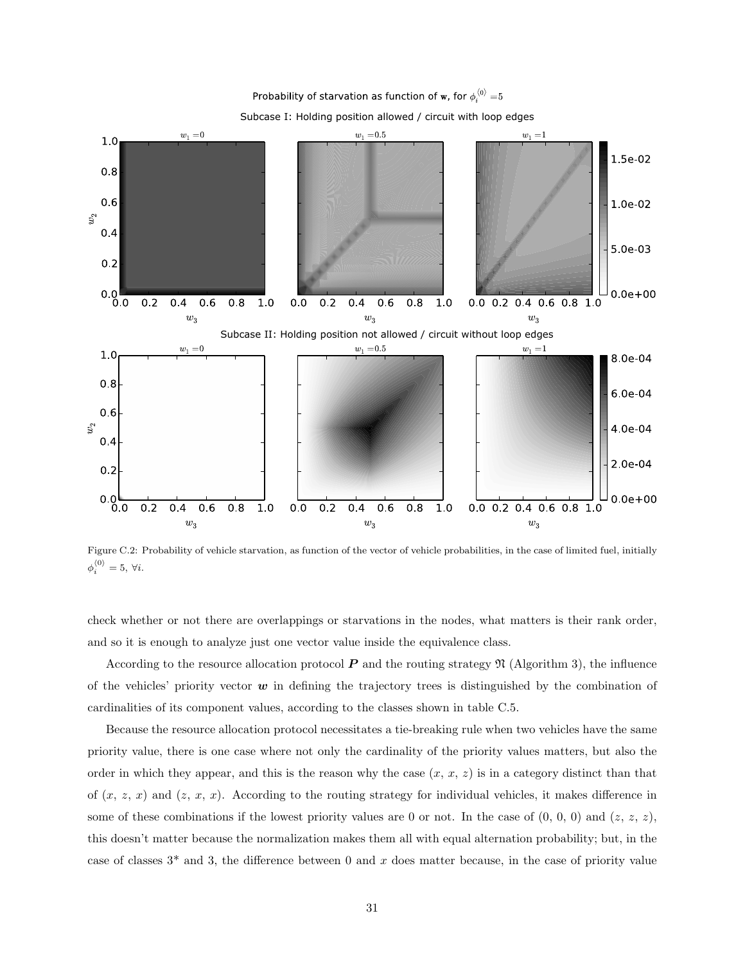Probability of starvation as function of w, for  $\phi_i^{\langle 0 \rangle} = 5$ 

Subcase I: Holding position allowed / circuit with loop edges



Figure C.2: Probability of vehicle starvation, as function of the vector of vehicle probabilities, in the case of limited fuel, initially  $\phi_i^{\langle 0 \rangle} = 5, \ \forall i.$ 

check whether or not there are overlappings or starvations in the nodes, what matters is their rank order, and so it is enough to analyze just one vector value inside the equivalence class.

According to the resource allocation protocol  $P$  and the routing strategy  $\mathfrak{N}$  (Algorithm 3), the influence of the vehicles' priority vector  $w$  in defining the trajectory trees is distinguished by the combination of cardinalities of its component values, according to the classes shown in table C.5.

Because the resource allocation protocol necessitates a tie-breaking rule when two vehicles have the same priority value, there is one case where not only the cardinality of the priority values matters, but also the order in which they appear, and this is the reason why the case  $(x, x, z)$  is in a category distinct than that of  $(x, z, x)$  and  $(z, x, x)$ . According to the routing strategy for individual vehicles, it makes difference in some of these combinations if the lowest priority values are 0 or not. In the case of  $(0, 0, 0)$  and  $(z, z, z)$ , this doesn't matter because the normalization makes them all with equal alternation probability; but, in the case of classes  $3^*$  and 3, the difference between 0 and x does matter because, in the case of priority value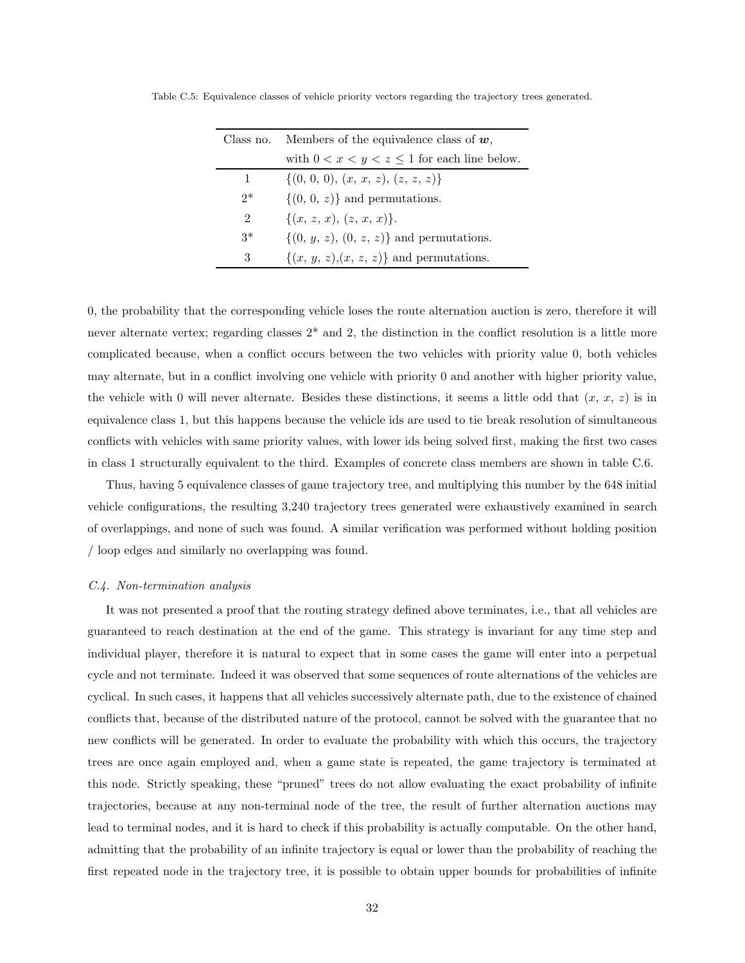|      | Class no. Members of the equivalence class of $w$ , |
|------|-----------------------------------------------------|
|      | with $0 < x < y < z \leq 1$ for each line below.    |
| 1    | $\{(0, 0, 0), (x, x, z), (z, z, z)\}\$              |
| $2*$ | $\{(0, 0, z)\}\$ and permutations.                  |
| 2    | $\{(x, z, x), (z, x, x)\}.$                         |
| $3*$ | $\{(0, y, z), (0, z, z)\}\$ and permutations.       |
| 3    | $\{(x, y, z), (x, z, z)\}\$ and permutations.       |

Table C.5: Equivalence classes of vehicle priority vectors regarding the trajectory trees generated.

0, the probability that the corresponding vehicle loses the route alternation auction is zero, therefore it will never alternate vertex; regarding classes 2\* and 2, the distinction in the conflict resolution is a little more complicated because, when a conflict occurs between the two vehicles with priority value 0, both vehicles may alternate, but in a conflict involving one vehicle with priority 0 and another with higher priority value, the vehicle with 0 will never alternate. Besides these distinctions, it seems a little odd that  $(x, x, z)$  is in equivalence class 1, but this happens because the vehicle ids are used to tie break resolution of simultaneous conflicts with vehicles with same priority values, with lower ids being solved first, making the first two cases in class 1 structurally equivalent to the third. Examples of concrete class members are shown in table C.6.

Thus, having 5 equivalence classes of game trajectory tree, and multiplying this number by the 648 initial vehicle configurations, the resulting 3,240 trajectory trees generated were exhaustively examined in search of overlappings, and none of such was found. A similar verification was performed without holding position / loop edges and similarly no overlapping was found.

## C.4. Non-termination analysis

It was not presented a proof that the routing strategy defined above terminates, i.e., that all vehicles are guaranteed to reach destination at the end of the game. This strategy is invariant for any time step and individual player, therefore it is natural to expect that in some cases the game will enter into a perpetual cycle and not terminate. Indeed it was observed that some sequences of route alternations of the vehicles are cyclical. In such cases, it happens that all vehicles successively alternate path, due to the existence of chained conflicts that, because of the distributed nature of the protocol, cannot be solved with the guarantee that no new conflicts will be generated. In order to evaluate the probability with which this occurs, the trajectory trees are once again employed and, when a game state is repeated, the game trajectory is terminated at this node. Strictly speaking, these "pruned" trees do not allow evaluating the exact probability of infinite trajectories, because at any non-terminal node of the tree, the result of further alternation auctions may lead to terminal nodes, and it is hard to check if this probability is actually computable. On the other hand, admitting that the probability of an infinite trajectory is equal or lower than the probability of reaching the first repeated node in the trajectory tree, it is possible to obtain upper bounds for probabilities of infinite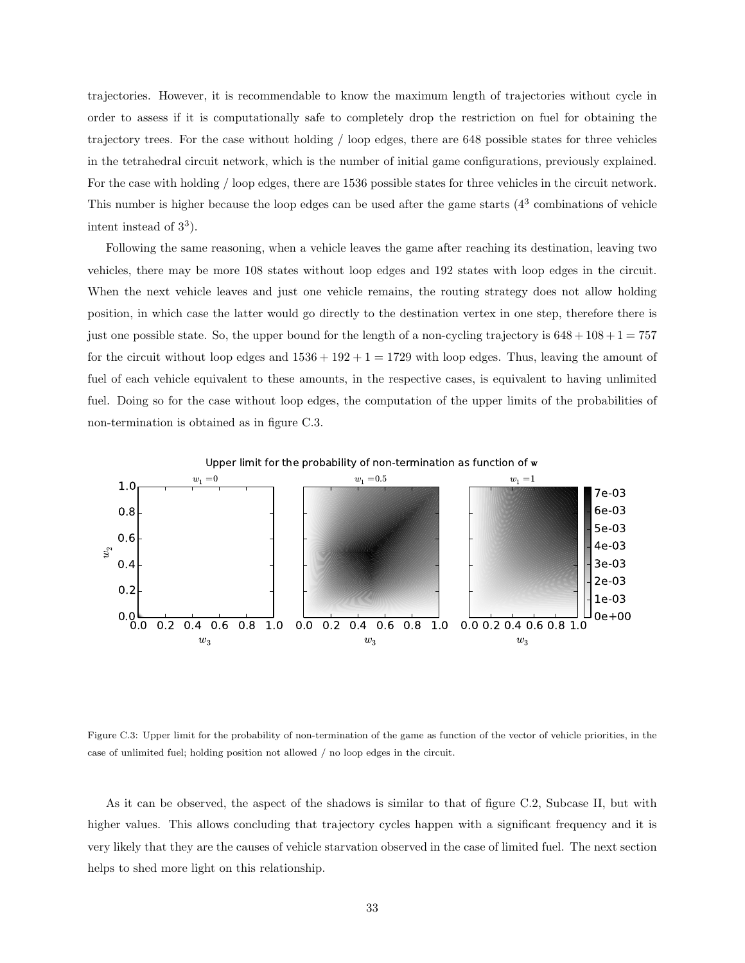trajectories. However, it is recommendable to know the maximum length of trajectories without cycle in order to assess if it is computationally safe to completely drop the restriction on fuel for obtaining the trajectory trees. For the case without holding / loop edges, there are 648 possible states for three vehicles in the tetrahedral circuit network, which is the number of initial game configurations, previously explained. For the case with holding / loop edges, there are 1536 possible states for three vehicles in the circuit network. This number is higher because the loop edges can be used after the game starts  $(4^3 \text{ combinations of vehicle})$ intent instead of  $3^3$ ).

Following the same reasoning, when a vehicle leaves the game after reaching its destination, leaving two vehicles, there may be more 108 states without loop edges and 192 states with loop edges in the circuit. When the next vehicle leaves and just one vehicle remains, the routing strategy does not allow holding position, in which case the latter would go directly to the destination vertex in one step, therefore there is just one possible state. So, the upper bound for the length of a non-cycling trajectory is  $648 + 108 + 1 = 757$ for the circuit without loop edges and  $1536 + 192 + 1 = 1729$  with loop edges. Thus, leaving the amount of fuel of each vehicle equivalent to these amounts, in the respective cases, is equivalent to having unlimited fuel. Doing so for the case without loop edges, the computation of the upper limits of the probabilities of non-termination is obtained as in figure C.3.



Figure C.3: Upper limit for the probability of non-termination of the game as function of the vector of vehicle priorities, in the case of unlimited fuel; holding position not allowed / no loop edges in the circuit.

As it can be observed, the aspect of the shadows is similar to that of figure C.2, Subcase II, but with higher values. This allows concluding that trajectory cycles happen with a significant frequency and it is very likely that they are the causes of vehicle starvation observed in the case of limited fuel. The next section helps to shed more light on this relationship.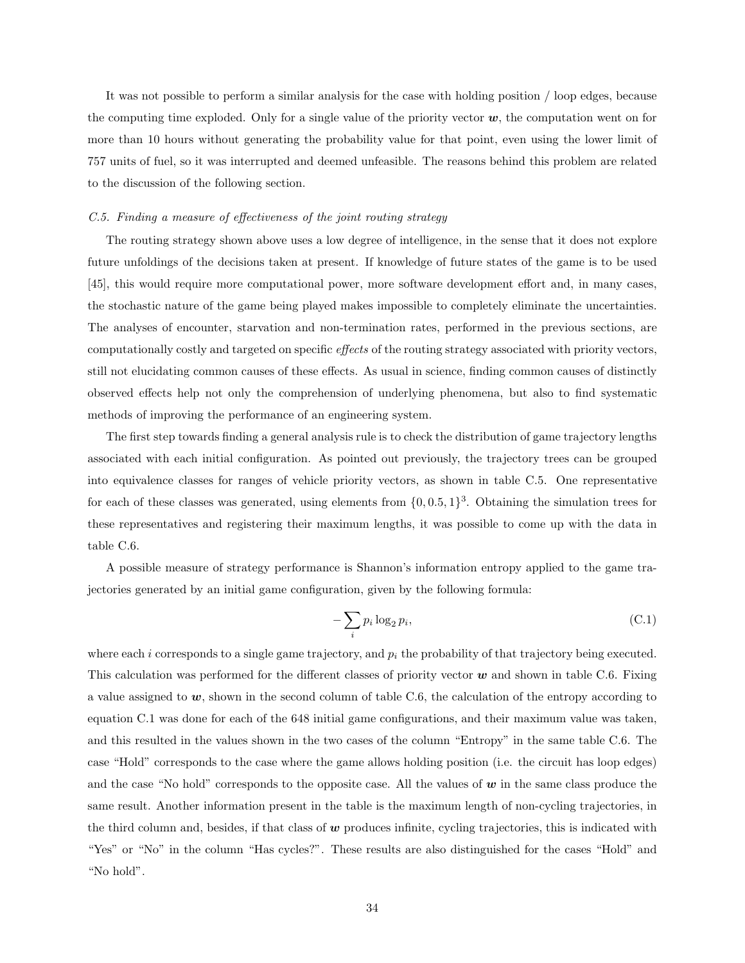It was not possible to perform a similar analysis for the case with holding position / loop edges, because the computing time exploded. Only for a single value of the priority vector  $w$ , the computation went on for more than 10 hours without generating the probability value for that point, even using the lower limit of 757 units of fuel, so it was interrupted and deemed unfeasible. The reasons behind this problem are related to the discussion of the following section.

#### C.5. Finding a measure of effectiveness of the joint routing strategy

The routing strategy shown above uses a low degree of intelligence, in the sense that it does not explore future unfoldings of the decisions taken at present. If knowledge of future states of the game is to be used [45], this would require more computational power, more software development effort and, in many cases, the stochastic nature of the game being played makes impossible to completely eliminate the uncertainties. The analyses of encounter, starvation and non-termination rates, performed in the previous sections, are computationally costly and targeted on specific effects of the routing strategy associated with priority vectors, still not elucidating common causes of these effects. As usual in science, finding common causes of distinctly observed effects help not only the comprehension of underlying phenomena, but also to find systematic methods of improving the performance of an engineering system.

The first step towards finding a general analysis rule is to check the distribution of game trajectory lengths associated with each initial configuration. As pointed out previously, the trajectory trees can be grouped into equivalence classes for ranges of vehicle priority vectors, as shown in table C.5. One representative for each of these classes was generated, using elements from  $\{0, 0.5, 1\}^3$ . Obtaining the simulation trees for these representatives and registering their maximum lengths, it was possible to come up with the data in table C.6.

A possible measure of strategy performance is Shannon's information entropy applied to the game trajectories generated by an initial game configuration, given by the following formula:

$$
-\sum_{i} p_i \log_2 p_i, \tag{C.1}
$$

where each i corresponds to a single game trajectory, and  $p_i$  the probability of that trajectory being executed. This calculation was performed for the different classes of priority vector  $w$  and shown in table C.6. Fixing a value assigned to  $w$ , shown in the second column of table C.6, the calculation of the entropy according to equation C.1 was done for each of the 648 initial game configurations, and their maximum value was taken, and this resulted in the values shown in the two cases of the column "Entropy" in the same table C.6. The case "Hold" corresponds to the case where the game allows holding position (i.e. the circuit has loop edges) and the case "No hold" corresponds to the opposite case. All the values of  $w$  in the same class produce the same result. Another information present in the table is the maximum length of non-cycling trajectories, in the third column and, besides, if that class of  $w$  produces infinite, cycling trajectories, this is indicated with "Yes" or "No" in the column "Has cycles?". These results are also distinguished for the cases "Hold" and "No hold".